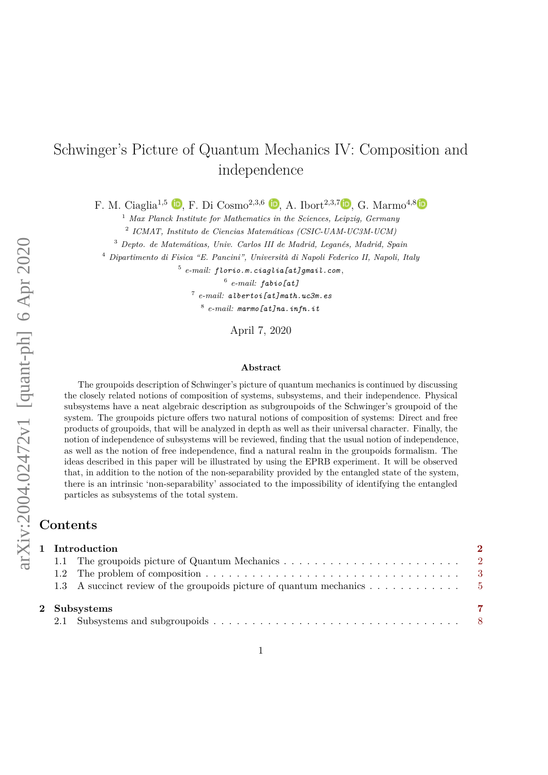# Schwinger's Picture of Quantum Mechanics IV: Composition and independence

F. M. Ciaglia<sup>1[,](https://orcid.org/0000-0002-0580-5858)5</sup> **D**, F. Di Cosmo<sup>2,3,6</sup> **D**, A. Ibort<sup>2,3,7</sup> **D**, G. Marmo<sup>4,[8](https://orcid.org/0000-0003-2662-2193)</sup>

<sup>1</sup> *Max Planck Institute for Mathematics in the Sciences, Leipzig, Germany*

2 *ICMAT, Instituto de Ciencias Matemáticas (CSIC-UAM-UC3M-UCM)*

<sup>3</sup> *Depto. de Matemáticas, Univ. Carlos III de Madrid, Leganés, Madrid, Spain*

<sup>4</sup> *Dipartimento di Fisica "E. Pancini", Università di Napoli Federico II, Napoli, Italy*

5 *e-mail: florio.m.ciaglia[at]gmail.com* ,

6 *e-mail: fabio[at]*

7 *e-mail: albertoi[at]math.uc3m.es*

8 *e-mail: marmo[at]na.infn.it*

April 7, 2020

#### **Abstract**

The groupoids description of Schwinger's picture of quantum mechanics is continued by discussing the closely related notions of composition of systems, subsystems, and their independence. Physical subsystems have a neat algebraic description as subgroupoids of the Schwinger's groupoid of the system. The groupoids picture offers two natural notions of composition of systems: Direct and free products of groupoids, that will be analyzed in depth as well as their universal character. Finally, the notion of independence of subsystems will be reviewed, finding that the usual notion of independence, as well as the notion of free independence, find a natural realm in the groupoids formalism. The ideas described in this paper will be illustrated by using the EPRB experiment. It will be observed that, in addition to the notion of the non-separability provided by the entangled state of the system, there is an intrinsic 'non-separability' associated to the impossibility of identifying the entangled particles as subsystems of the total system.

### **Contents**

|              | 1 Introduction |  |  |  |  |  |
|--------------|----------------|--|--|--|--|--|
|              |                |  |  |  |  |  |
|              |                |  |  |  |  |  |
|              |                |  |  |  |  |  |
| 2 Subsystems |                |  |  |  |  |  |
|              |                |  |  |  |  |  |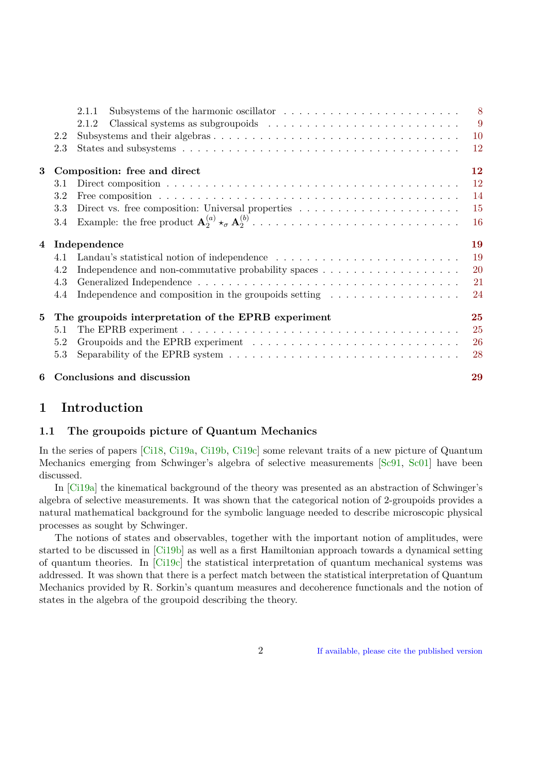| 6               |                              | Conclusions and discussion                                                                                                                           | 29                  |  |  |  |  |  |  |  |
|-----------------|------------------------------|------------------------------------------------------------------------------------------------------------------------------------------------------|---------------------|--|--|--|--|--|--|--|
|                 | 5.3                          |                                                                                                                                                      | 28                  |  |  |  |  |  |  |  |
|                 | 5.2                          |                                                                                                                                                      | 26                  |  |  |  |  |  |  |  |
|                 | 5.1                          |                                                                                                                                                      | 25                  |  |  |  |  |  |  |  |
| $5\phantom{.0}$ |                              | The groupoids interpretation of the EPRB experiment                                                                                                  | 25                  |  |  |  |  |  |  |  |
|                 | 4.4                          | Independence and composition in the groupoids setting $\dots \dots \dots \dots \dots \dots$                                                          | 24                  |  |  |  |  |  |  |  |
|                 | 4.3                          |                                                                                                                                                      | 21                  |  |  |  |  |  |  |  |
|                 | 4.2                          |                                                                                                                                                      | <b>20</b>           |  |  |  |  |  |  |  |
|                 | 4.1                          |                                                                                                                                                      | 19                  |  |  |  |  |  |  |  |
| $\overline{4}$  | Independence                 |                                                                                                                                                      |                     |  |  |  |  |  |  |  |
|                 | 3.4                          | Example: the free product $\mathbf{A}_2^{(a)} \star_\sigma \mathbf{A}_2^{(b)} \ldots \ldots \ldots \ldots \ldots \ldots \ldots \ldots \ldots \ldots$ | <b>16</b>           |  |  |  |  |  |  |  |
|                 | 3.3                          |                                                                                                                                                      | 15                  |  |  |  |  |  |  |  |
|                 | 3.2                          | Free composition $\ldots \ldots \ldots \ldots \ldots \ldots \ldots \ldots \ldots \ldots \ldots \ldots \ldots$                                        |                     |  |  |  |  |  |  |  |
|                 |                              |                                                                                                                                                      | 14                  |  |  |  |  |  |  |  |
|                 | 3.1                          |                                                                                                                                                      | 12<br><sup>12</sup> |  |  |  |  |  |  |  |
| 3               | Composition: free and direct |                                                                                                                                                      |                     |  |  |  |  |  |  |  |
|                 | 2.3                          |                                                                                                                                                      | 12                  |  |  |  |  |  |  |  |
|                 | 2.2                          |                                                                                                                                                      | <b>10</b>           |  |  |  |  |  |  |  |
|                 |                              | 2.1.2                                                                                                                                                | $\overline{9}$      |  |  |  |  |  |  |  |
|                 |                              | 2.1.1                                                                                                                                                | 8 <sup>8</sup>      |  |  |  |  |  |  |  |

### <span id="page-1-0"></span>**1 Introduction**

### <span id="page-1-1"></span>**1.1 The groupoids picture of Quantum Mechanics**

In the series of papers [\[Ci18,](#page-30-0) [Ci19a,](#page-30-1) [Ci19b,](#page-30-2) [Ci19c\]](#page-30-3) some relevant traits of a new picture of Quantum Mechanics emerging from Schwinger's algebra of selective measurements [\[Sc91,](#page-31-0) [Sc01\]](#page-31-1) have been discussed.

In [\[Ci19a\]](#page-30-1) the kinematical background of the theory was presented as an abstraction of Schwinger's algebra of selective measurements. It was shown that the categorical notion of 2-groupoids provides a natural mathematical background for the symbolic language needed to describe microscopic physical processes as sought by Schwinger.

The notions of states and observables, together with the important notion of amplitudes, were started to be discussed in [\[Ci19b\]](#page-30-2) as well as a first Hamiltonian approach towards a dynamical setting of quantum theories. In [\[Ci19c\]](#page-30-3) the statistical interpretation of quantum mechanical systems was addressed. It was shown that there is a perfect match between the statistical interpretation of Quantum Mechanics provided by R. Sorkin's quantum measures and decoherence functionals and the notion of states in the algebra of the groupoid describing the theory.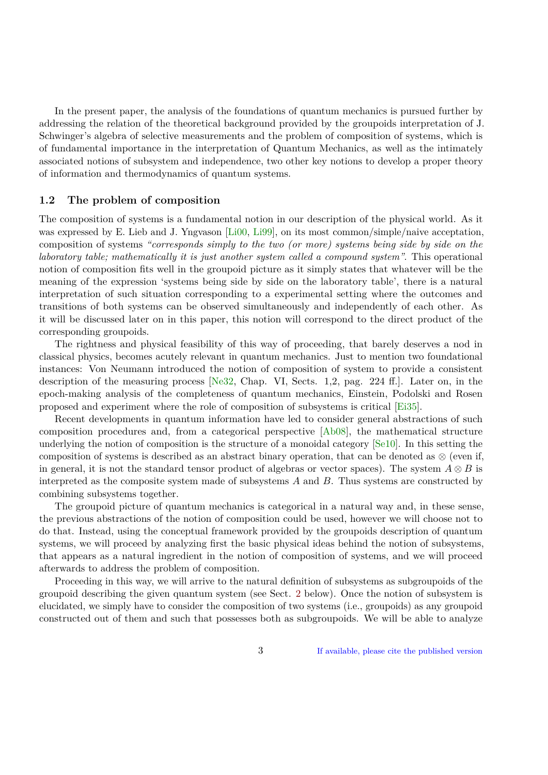In the present paper, the analysis of the foundations of quantum mechanics is pursued further by addressing the relation of the theoretical background provided by the groupoids interpretation of J. Schwinger's algebra of selective measurements and the problem of composition of systems, which is of fundamental importance in the interpretation of Quantum Mechanics, as well as the intimately associated notions of subsystem and independence, two other key notions to develop a proper theory of information and thermodynamics of quantum systems.

### <span id="page-2-0"></span>**1.2 The problem of composition**

The composition of systems is a fundamental notion in our description of the physical world. As it was expressed by E. Lieb and J. Yngvason [\[Li00,](#page-31-2) [Li99\]](#page-31-3), on its most common/simple/naive acceptation, composition of systems *"corresponds simply to the two (or more) systems being side by side on the laboratory table; mathematically it is just another system called a compound system"*. This operational notion of composition fits well in the groupoid picture as it simply states that whatever will be the meaning of the expression 'systems being side by side on the laboratory table', there is a natural interpretation of such situation corresponding to a experimental setting where the outcomes and transitions of both systems can be observed simultaneously and independently of each other. As it will be discussed later on in this paper, this notion will correspond to the direct product of the corresponding groupoids.

The rightness and physical feasibility of this way of proceeding, that barely deserves a nod in classical physics, becomes acutely relevant in quantum mechanics. Just to mention two foundational instances: Von Neumann introduced the notion of composition of system to provide a consistent description of the measuring process [\[Ne32,](#page-31-4) Chap. VI, Sects. 1,2, pag. 224 ff.]. Later on, in the epoch-making analysis of the completeness of quantum mechanics, Einstein, Podolski and Rosen proposed and experiment where the role of composition of subsystems is critical [\[Ei35\]](#page-30-4).

Recent developments in quantum information have led to consider general abstractions of such composition procedures and, from a categorical perspective [\[Ab08\]](#page-30-5), the mathematical structure underlying the notion of composition is the structure of a monoidal category [\[Se10\]](#page-31-5). In this setting the composition of systems is described as an abstract binary operation, that can be denoted as  $\otimes$  (even if, in general, it is not the standard tensor product of algebras or vector spaces). The system  $A \otimes B$  is interpreted as the composite system made of subsystems *A* and *B*. Thus systems are constructed by combining subsystems together.

The groupoid picture of quantum mechanics is categorical in a natural way and, in these sense, the previous abstractions of the notion of composition could be used, however we will choose not to do that. Instead, using the conceptual framework provided by the groupoids description of quantum systems, we will proceed by analyzing first the basic physical ideas behind the notion of subsystems, that appears as a natural ingredient in the notion of composition of systems, and we will proceed afterwards to address the problem of composition.

Proceeding in this way, we will arrive to the natural definition of subsystems as subgroupoids of the groupoid describing the given quantum system (see Sect. [2](#page-6-0) below). Once the notion of subsystem is elucidated, we simply have to consider the composition of two systems (i.e., groupoids) as any groupoid constructed out of them and such that possesses both as subgroupoids. We will be able to analyze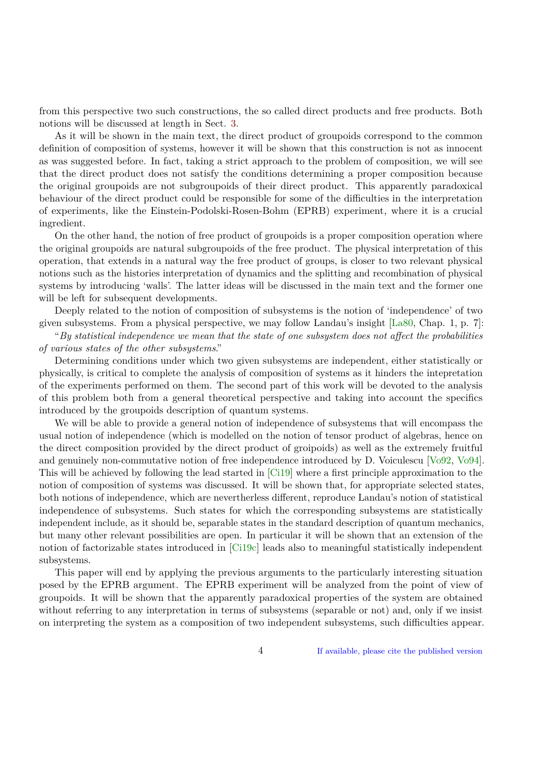from this perspective two such constructions, the so called direct products and free products. Both notions will be discussed at length in Sect. [3.](#page-11-1)

As it will be shown in the main text, the direct product of groupoids correspond to the common definition of composition of systems, however it will be shown that this construction is not as innocent as was suggested before. In fact, taking a strict approach to the problem of composition, we will see that the direct product does not satisfy the conditions determining a proper composition because the original groupoids are not subgroupoids of their direct product. This apparently paradoxical behaviour of the direct product could be responsible for some of the difficulties in the interpretation of experiments, like the Einstein-Podolski-Rosen-Bohm (EPRB) experiment, where it is a crucial ingredient.

On the other hand, the notion of free product of groupoids is a proper composition operation where the original groupoids are natural subgroupoids of the free product. The physical interpretation of this operation, that extends in a natural way the free product of groups, is closer to two relevant physical notions such as the histories interpretation of dynamics and the splitting and recombination of physical systems by introducing 'walls'. The latter ideas will be discussed in the main text and the former one will be left for subsequent developments.

Deeply related to the notion of composition of subsystems is the notion of 'independence' of two given subsystems. From a physical perspective, we may follow Landau's insight [\[La80,](#page-30-6) Chap. 1, p. 7]:

"*By statistical independence we mean that the state of one subsystem does not affect the probabilities of various states of the other subsystems*."

Determining conditions under which two given subsystems are independent, either statistically or physically, is critical to complete the analysis of composition of systems as it hinders the intepretation of the experiments performed on them. The second part of this work will be devoted to the analysis of this problem both from a general theoretical perspective and taking into account the specifics introduced by the groupoids description of quantum systems.

We will be able to provide a general notion of independence of subsystems that will encompass the usual notion of independence (which is modelled on the notion of tensor product of algebras, hence on the direct composition provided by the direct product of groipoids) as well as the extremely fruitful and genuinely non-commutative notion of free independence introduced by D. Voiculescu [\[Vo92,](#page-31-6) [Vo94\]](#page-31-7). This will be achieved by following the lead started in [\[Ci19\]](#page-30-7) where a first principle approximation to the notion of composition of systems was discussed. It will be shown that, for appropriate selected states, both notions of independence, which are nevertherless different, reproduce Landau's notion of statistical independence of subsystems. Such states for which the corresponding subsystems are statistically independent include, as it should be, separable states in the standard description of quantum mechanics, but many other relevant possibilities are open. In particular it will be shown that an extension of the notion of factorizable states introduced in [\[Ci19c\]](#page-30-3) leads also to meaningful statistically independent subsystems.

This paper will end by applying the previous arguments to the particularly interesting situation posed by the EPRB argument. The EPRB experiment will be analyzed from the point of view of groupoids. It will be shown that the apparently paradoxical properties of the system are obtained without referring to any interpretation in terms of subsystems (separable or not) and, only if we insist on interpreting the system as a composition of two independent subsystems, such difficulties appear.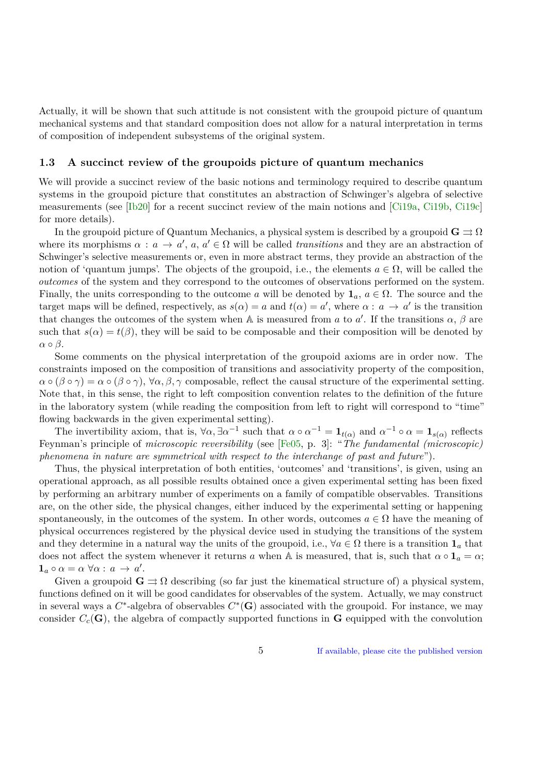Actually, it will be shown that such attitude is not consistent with the groupoid picture of quantum mechanical systems and that standard composition does not allow for a natural interpretation in terms of composition of independent subsystems of the original system.

#### <span id="page-4-0"></span>**1.3 A succinct review of the groupoids picture of quantum mechanics**

We will provide a succinct review of the basic notions and terminology required to describe quantum systems in the groupoid picture that constitutes an abstraction of Schwinger's algebra of selective measurements (see [\[Ib20\]](#page-30-8) for a recent succinct review of the main notions and [\[Ci19a,](#page-30-1) [Ci19b,](#page-30-2) [Ci19c\]](#page-30-3) for more details).

In the groupoid picture of Quantum Mechanics, a physical system is described by a groupoid  $\mathbf{G} \rightrightarrows \Omega$ where its morphisms  $\alpha : a \to a'$ ,  $a, a' \in \Omega$  will be called *transitions* and they are an abstraction of Schwinger's selective measurements or, even in more abstract terms, they provide an abstraction of the notion of 'quantum jumps'. The objects of the groupoid, i.e., the elements  $a \in \Omega$ , will be called the *outcomes* of the system and they correspond to the outcomes of observations performed on the system. Finally, the units corresponding to the outcome *a* will be denoted by  $\mathbf{1}_a$ ,  $a \in \Omega$ . The source and the target maps will be defined, respectively, as  $s(\alpha) = a$  and  $t(\alpha) = a'$ , where  $\alpha : a \to a'$  is the transition that changes the outcomes of the system when A is measured from *a* to *a'*. If the transitions  $\alpha$ ,  $\beta$  are such that  $s(\alpha) = t(\beta)$ , they will be said to be composable and their composition will be denoted by  $α ∘ β$ .

Some comments on the physical interpretation of the groupoid axioms are in order now. The constraints imposed on the composition of transitions and associativity property of the composition,  $\alpha \circ (\beta \circ \gamma) = \alpha \circ (\beta \circ \gamma)$ ,  $\forall \alpha, \beta, \gamma$  composable, reflect the causal structure of the experimental setting. Note that, in this sense, the right to left composition convention relates to the definition of the future in the laboratory system (while reading the composition from left to right will correspond to "time" flowing backwards in the given experimental setting).

The invertibility axiom, that is,  $\forall \alpha, \exists \alpha^{-1}$  such that  $\alpha \circ \alpha^{-1} = \mathbf{1}_{t(\alpha)}$  and  $\alpha^{-1} \circ \alpha = \mathbf{1}_{s(\alpha)}$  reflects Feynman's principle of *microscopic reversibility* (see [\[Fe05,](#page-30-9) p. 3]: "*The fundamental (microscopic) phenomena in nature are symmetrical with respect to the interchange of past and future*").

Thus, the physical interpretation of both entities, 'outcomes' and 'transitions', is given, using an operational approach, as all possible results obtained once a given experimental setting has been fixed by performing an arbitrary number of experiments on a family of compatible observables. Transitions are, on the other side, the physical changes, either induced by the experimental setting or happening spontaneously, in the outcomes of the system. In other words, outcomes  $a \in \Omega$  have the meaning of physical occurrences registered by the physical device used in studying the transitions of the system and they determine in a natural way the units of the groupoid, i.e.,  $\forall a \in \Omega$  there is a transition  $\mathbf{1}_a$  that does not affect the system whenever it returns *a* when A is measured, that is, such that  $\alpha \circ \mathbf{1}_a = \alpha$ ;  $\mathbf{1}_a \circ \alpha = \alpha \; \forall \alpha : a \to a'.$ 

Given a groupoid  $\mathbf{G} \rightrightarrows \Omega$  describing (so far just the kinematical structure of) a physical system, functions defined on it will be good candidates for observables of the system. Actually, we may construct in several ways a  $C^*$ -algebra of observables  $C^*(\mathbf{G})$  associated with the groupoid. For instance, we may consider  $C_c(G)$ , the algebra of compactly supported functions in **G** equipped with the convolution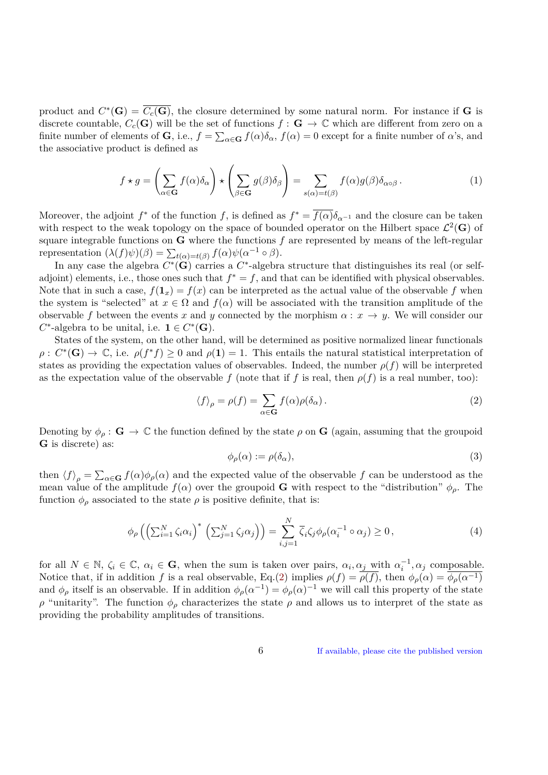product and  $C^*(G) = \overline{C_c(G)}$ , the closure determined by some natural norm. For instance if G is discrete countable,  $C_c(G)$  will be the set of functions  $f: G \to \mathbb{C}$  which are different from zero on a finite number of elements of **G**, i.e.,  $f = \sum_{\alpha \in \mathbf{G}} f(\alpha) \delta_{\alpha}$ ,  $f(\alpha) = 0$  except for a finite number of  $\alpha$ 's, and the associative product is defined as

$$
f \star g = \left(\sum_{\alpha \in \mathbf{G}} f(\alpha) \delta_{\alpha}\right) \star \left(\sum_{\beta \in \mathbf{G}} g(\beta) \delta_{\beta}\right) = \sum_{s(\alpha) = t(\beta)} f(\alpha) g(\beta) \delta_{\alpha \circ \beta}.
$$
 (1)

Moreover, the adjoint  $f^*$  of the function  $f$ , is defined as  $f^* = \overline{f(\alpha)} \delta_{\alpha^{-1}}$  and the closure can be taken with respect to the weak topology on the space of bounded operator on the Hilbert space  $\mathcal{L}^2(\mathbf{G})$  of square integrable functions on **G** where the functions *f* are represented by means of the left-regular representation  $(\lambda(f)\psi)(\beta) = \sum_{t(\alpha)=t(\beta)} f(\alpha)\psi(\alpha^{-1} \circ \beta)$ .

In any case the algebra  $C^*(\tilde{G})$  carries a  $C^*$ -algebra structure that distinguishes its real (or selfadjoint) elements, i.e., those ones such that  $f^* = f$ , and that can be identified with physical observables. Note that in such a case,  $f(\mathbf{1}_x) = f(x)$  can be interpreted as the actual value of the observable f when the system is "selected" at  $x \in \Omega$  and  $f(\alpha)$  will be associated with the transition amplitude of the observable f between the events x and y connected by the morphism  $\alpha: x \to y$ . We will consider our  $C^*$ -algebra to be unital, i.e.  $\mathbf{1} \in C^*(\mathbf{G})$ .

States of the system, on the other hand, will be determined as positive normalized linear functionals  $\rho: C^*(\mathbf{G}) \to \mathbb{C}$ , i.e.  $\rho(f^*f) \geq 0$  and  $\rho(1) = 1$ . This entails the natural statistical interpretation of states as providing the expectation values of observables. Indeed, the number  $\rho(f)$  will be interpreted as the expectation value of the observable *f* (note that if *f* is real, then  $\rho(f)$  is a real number, too):

<span id="page-5-0"></span>
$$
\langle f \rangle_{\rho} = \rho(f) = \sum_{\alpha \in \mathbf{G}} f(\alpha) \rho(\delta_{\alpha}). \tag{2}
$$

Denoting by  $\phi_{\rho} : \mathbf{G} \to \mathbb{C}$  the function defined by the state  $\rho$  on **G** (again, assuming that the groupoid **G** is discrete) as:

$$
\phi_{\rho}(\alpha) := \rho(\delta_{\alpha}),\tag{3}
$$

then  $\langle f \rangle_{\rho} = \sum_{\alpha \in \mathbf{G}} f(\alpha) \phi_{\rho}(\alpha)$  and the expected value of the observable *f* can be understood as the mean value of the amplitude  $f(\alpha)$  over the groupoid **G** with respect to the "distribution"  $\phi_{\rho}$ . The function  $\phi$ <sup> $\theta$ </sup> associated to the state  $\rho$  is positive definite, that is:

$$
\phi_{\rho}\left(\left(\sum_{i=1}^{N}\zeta_{i}\alpha_{i}\right)^{*}\left(\sum_{j=1}^{N}\zeta_{j}\alpha_{j}\right)\right)=\sum_{i,j=1}^{N}\overline{\zeta}_{i}\zeta_{j}\phi_{\rho}(\alpha_{i}^{-1}\circ\alpha_{j})\geq 0,
$$
\n(4)

for all  $N \in \mathbb{N}$ ,  $\zeta_i \in \mathbb{C}$ ,  $\alpha_i \in \mathbf{G}$ , when the sum is taken over pairs,  $\alpha_i, \alpha_j$  with  $\alpha_i^{-1}, \alpha_j$  composable. Notice that, if in addition *f* is a real observable, Eq.[\(2\)](#page-5-0) implies  $\rho(f) = \overline{\rho(f)}$ , then  $\phi_{\rho}(\alpha) = \overline{\phi_{\rho}(\alpha^{-1})}$ and  $\phi_{\rho}$  itself is an observable. If in addition  $\phi_{\rho}(\alpha^{-1}) = \phi_{\rho}(\alpha)^{-1}$  we will call this property of the state *ρ* "unitarity". The function  $φ$ *ρ* characterizes the state *ρ* and allows us to interpret of the state as providing the probability amplitudes of transitions.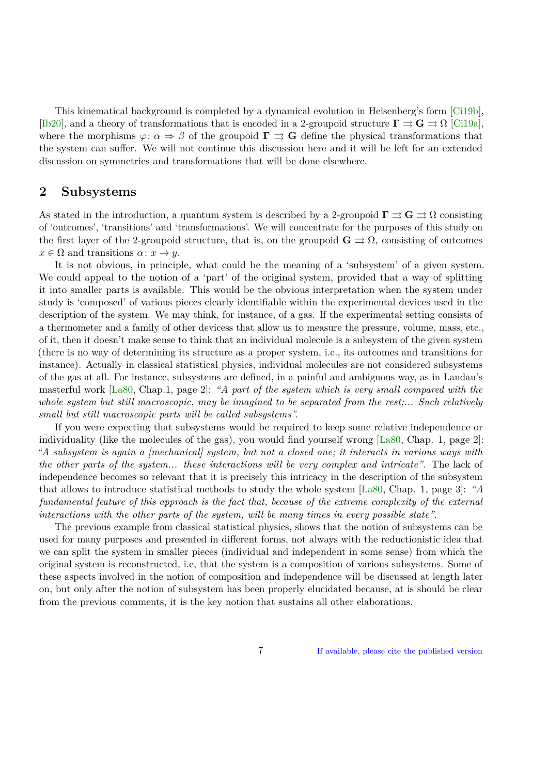This kinematical background is completed by a dynamical evolution in Heisenberg's form [\[Ci19b\]](#page-30-2), [\[Ib20\]](#page-30-8), and a theory of transformations that is encoded in a 2-groupoid structure  $\mathbf{\Gamma} \rightrightarrows \mathbf{G} \rightrightarrows \Omega$  [\[Ci19a\]](#page-30-1), where the morphisms  $\varphi: \alpha \Rightarrow \beta$  of the groupoid  $\Gamma \Rightarrow G$  define the physical transformations that the system can suffer. We will not continue this discussion here and it will be left for an extended discussion on symmetries and transformations that will be done elsewhere.

### <span id="page-6-0"></span>**2 Subsystems**

As stated in the introduction, a quantum system is described by a 2-groupoid  $\Gamma \rightrightarrows \mathbf{G} \rightrightarrows \Omega$  consisting of 'outcomes', 'transitions' and 'transformations'. We will concentrate for the purposes of this study on the first layer of the 2-groupoid structure, that is, on the groupoid  $\mathbf{G} \rightrightarrows \Omega$ , consisting of outcomes  $x \in \Omega$  and transitions  $\alpha: x \to y$ .

It is not obvious, in principle, what could be the meaning of a 'subsystem' of a given system. We could appeal to the notion of a 'part' of the original system, provided that a way of splitting it into smaller parts is available. This would be the obvious interpretation when the system under study is 'composed' of various pieces clearly identifiable within the experimental devices used in the description of the system. We may think, for instance, of a gas. If the experimental setting consists of a thermometer and a family of other devicess that allow us to measure the pressure, volume, mass, etc., of it, then it doesn't make sense to think that an individual molecule is a subsystem of the given system (there is no way of determining its structure as a proper system, i.e., its outcomes and transitions for instance). Actually in classical statistical physics, individual molecules are not considered subsystems of the gas at all. For instance, subsystems are defined, in a painful and ambiguous way, as in Landau's masterful work [\[La80,](#page-30-6) Chap.1, page 2]: *"A part of the system which is very small compared with the whole system but still macroscopic, may be imagined to be separated from the rest;... Such relatively small but still macroscopic parts will be called subsystems".*

If you were expecting that subsystems would be required to keep some relative independence or individuality (like the molecules of the gas), you would find yourself wrong [\[La80,](#page-30-6) Chap. 1, page 2]: *"A subsystem is again a [mechanical] system, but not a closed one; it interacts in various ways with the other parts of the system... these interactions will be very complex and intricate"*. The lack of independence becomes so relevant that it is precisely this intricacy in the description of the subsystem that allows to introduce statistical methods to study the whole system [\[La80,](#page-30-6) Chap. 1, page 3]: *"A fundamental feature of this approach is the fact that, because of the extreme complexity of the external interactions with the other parts of the system, will be many times in every possible state"*.

The previous example from classical statistical physics, shows that the notion of subsystems can be used for many purposes and presented in different forms, not always with the reductionistic idea that we can split the system in smaller pieces (individual and independent in some sense) from which the original system is reconstructed, i.e, that the system is a composition of various subsystems. Some of these aspects involved in the notion of composition and independence will be discussed at length later on, but only after the notion of subsystem has been properly elucidated because, at is should be clear from the previous comments, it is the key notion that sustains all other elaborations.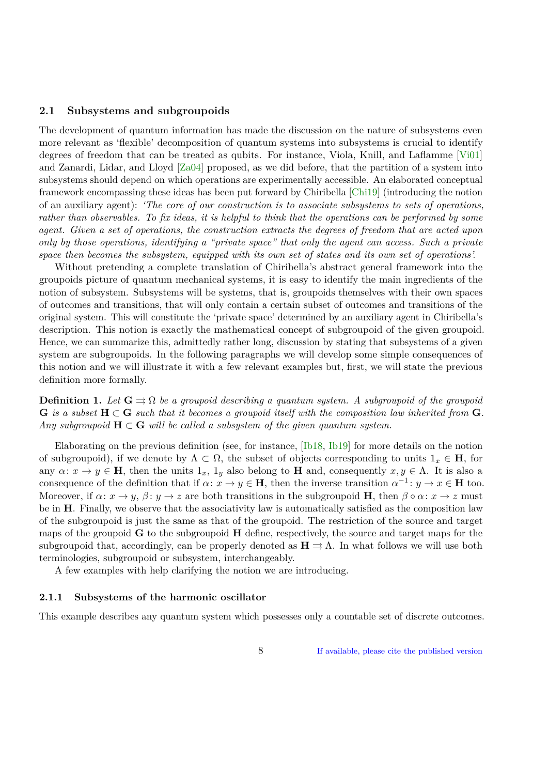### <span id="page-7-0"></span>**2.1 Subsystems and subgroupoids**

The development of quantum information has made the discussion on the nature of subsystems even more relevant as 'flexible' decomposition of quantum systems into subsystems is crucial to identify degrees of freedom that can be treated as qubits. For instance, Viola, Knill, and Laflamme [\[Vi01\]](#page-31-8) and Zanardi, Lidar, and Lloyd [\[Za04\]](#page-31-9) proposed, as we did before, that the partition of a system into subsystems should depend on which operations are experimentally accessible. An elaborated conceptual framework encompassing these ideas has been put forward by Chiribella [\[Chi19\]](#page-30-10) (introducing the notion of an auxiliary agent): *'The core of our construction is to associate subsystems to sets of operations, rather than observables. To fix ideas, it is helpful to think that the operations can be performed by some agent. Given a set of operations, the construction extracts the degrees of freedom that are acted upon only by those operations, identifying a "private space" that only the agent can access. Such a private space then becomes the subsystem, equipped with its own set of states and its own set of operations'.*

Without pretending a complete translation of Chiribella's abstract general framework into the groupoids picture of quantum mechanical systems, it is easy to identify the main ingredients of the notion of subsystem. Subsystems will be systems, that is, groupoids themselves with their own spaces of outcomes and transitions, that will only contain a certain subset of outcomes and transitions of the original system. This will constitute the 'private space' determined by an auxiliary agent in Chiribella's description. This notion is exactly the mathematical concept of subgroupoid of the given groupoid. Hence, we can summarize this, admittedly rather long, discussion by stating that subsystems of a given system are subgroupoids. In the following paragraphs we will develop some simple consequences of this notion and we will illustrate it with a few relevant examples but, first, we will state the previous definition more formally.

**Definition 1.** Let  $\mathbf{G} \rightrightarrows \Omega$  be a groupoid describing a quantum system. A subgroupoid of the groupoid **G** *is a subset*  $H \subset G$  *such that it becomes a groupoid itself with the composition law inherited from*  $G$ *. Any subgroupoid*  $H \subset G$  *will be called a subsystem of the given quantum system.* 

Elaborating on the previous definition (see, for instance, [\[Ib18,](#page-30-11) [Ib19\]](#page-30-12) for more details on the notion of subgroupoid), if we denote by  $\Lambda \subset \Omega$ , the subset of objects corresponding to units  $1_x \in \mathbf{H}$ , for any  $\alpha: x \to y \in \mathbf{H}$ , then the units  $1_x$ ,  $1_y$  also belong to **H** and, consequently  $x, y \in \Lambda$ . It is also a consequence of the definition that if  $\alpha: x \to y \in \mathbf{H}$ , then the inverse transition  $\alpha^{-1}: y \to x \in \mathbf{H}$  too. Moreover, if  $\alpha: x \to y$ ,  $\beta: y \to z$  are both transitions in the subgroupoid **H**, then  $\beta \circ \alpha: x \to z$  must be in **H**. Finally, we observe that the associativity law is automatically satisfied as the composition law of the subgroupoid is just the same as that of the groupoid. The restriction of the source and target maps of the groupoid **G** to the subgroupoid **H** define, respectively, the source and target maps for the subgroupoid that, accordingly, can be properly denoted as  $H \rightrightarrows \Lambda$ . In what follows we will use both terminologies, subgroupoid or subsystem, interchangeably.

A few examples with help clarifying the notion we are introducing.

#### <span id="page-7-1"></span>**2.1.1 Subsystems of the harmonic oscillator**

This example describes any quantum system which possesses only a countable set of discrete outcomes.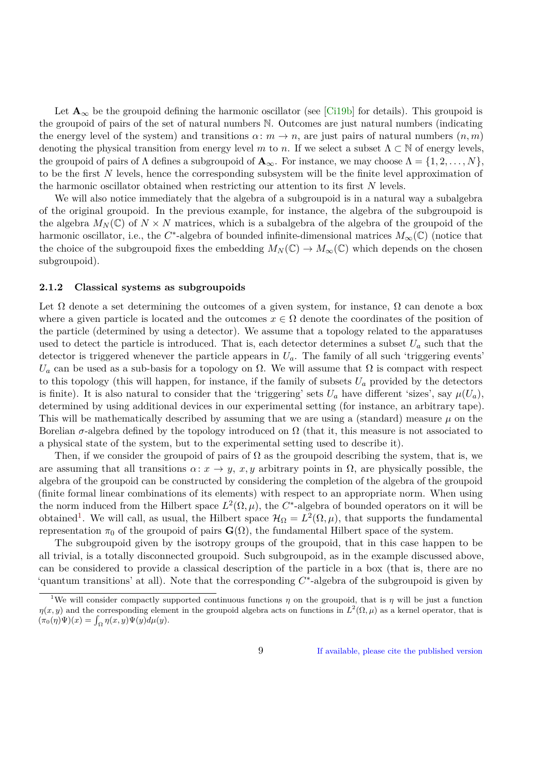Let  $\mathbf{A}_{\infty}$  be the groupoid defining the harmonic oscillator (see [\[Ci19b\]](#page-30-2) for details). This groupoid is the groupoid of pairs of the set of natural numbers N. Outcomes are just natural numbers (indicating the energy level of the system) and transitions  $\alpha$ :  $m \to n$ , are just pairs of natural numbers  $(n, m)$ denoting the physical transition from energy level *m* to *n*. If we select a subset  $\Lambda \subset \mathbb{N}$  of energy levels, the groupoid of pairs of  $\Lambda$  defines a subgroupoid of  $\mathbf{A}_{\infty}$ . For instance, we may choose  $\Lambda = \{1, 2, ..., N\}$ , to be the first *N* levels, hence the corresponding subsystem will be the finite level approximation of the harmonic oscillator obtained when restricting our attention to its first *N* levels.

We will also notice immediately that the algebra of a subgroupoid is in a natural way a subalgebra of the original groupoid. In the previous example, for instance, the algebra of the subgroupoid is the algebra  $M_N(\mathbb{C})$  of  $N \times N$  matrices, which is a subalgebra of the algebra of the groupoid of the harmonic oscillator, i.e., the  $C^*$ -algebra of bounded infinite-dimensional matrices  $M_\infty(\mathbb{C})$  (notice that the choice of the subgroupoid fixes the embedding  $M_N(\mathbb{C}) \to M_\infty(\mathbb{C})$  which depends on the chosen subgroupoid).

#### <span id="page-8-0"></span>**2.1.2 Classical systems as subgroupoids**

Let  $\Omega$  denote a set determining the outcomes of a given system, for instance,  $\Omega$  can denote a box where a given particle is located and the outcomes  $x \in \Omega$  denote the coordinates of the position of the particle (determined by using a detector). We assume that a topology related to the apparatuses used to detect the particle is introduced. That is, each detector determines a subset  $U_a$  such that the detector is triggered whenever the particle appears in  $U_a$ . The family of all such 'triggering events'  $U_a$  can be used as a sub-basis for a topology on  $\Omega$ . We will assume that  $\Omega$  is compact with respect to this topology (this will happen, for instance, if the family of subsets  $U_a$  provided by the detectors is finite). It is also natural to consider that the 'triggering' sets  $U_a$  have different 'sizes', say  $\mu(U_a)$ , determined by using additional devices in our experimental setting (for instance, an arbitrary tape). This will be mathematically described by assuming that we are using a (standard) measure  $\mu$  on the Borelian  $\sigma$ -algebra defined by the topology introduced on  $\Omega$  (that it, this measure is not associated to a physical state of the system, but to the experimental setting used to describe it).

Then, if we consider the groupoid of pairs of  $\Omega$  as the groupoid describing the system, that is, we are assuming that all transitions  $\alpha: x \to y$ , *x*, *y* arbitrary points in  $\Omega$ , are physically possible, the algebra of the groupoid can be constructed by considering the completion of the algebra of the groupoid (finite formal linear combinations of its elements) with respect to an appropriate norm. When using the norm induced from the Hilbert space  $L^2(\Omega,\mu)$ , the *C*<sup>\*</sup>-algebra of bounded operators on it will be obtained<sup>[1](#page-8-1)</sup>. We will call, as usual, the Hilbert space  $\mathcal{H}_{\Omega} = L^2(\Omega, \mu)$ , that supports the fundamental representation  $\pi_0$  of the groupoid of pairs  $\mathbf{G}(\Omega)$ , the fundamental Hilbert space of the system.

The subgroupoid given by the isotropy groups of the groupoid, that in this case happen to be all trivial, is a totally disconnected groupoid. Such subgroupoid, as in the example discussed above, can be considered to provide a classical description of the particle in a box (that is, there are no 'quantum transitions' at all). Note that the corresponding *C* ∗ -algebra of the subgroupoid is given by

<span id="page-8-1"></span><sup>1</sup>We will consider compactly supported continuous functions *η* on the groupoid, that is *η* will be just a function *η*(*x, y*) and the corresponding element in the groupoid algebra acts on functions in  $L^2(Ω, μ)$  as a kernel operator, that is  $(\pi_0(\eta)\Psi)(x) = \int_{\Omega} \eta(x, y)\Psi(y)d\mu(y).$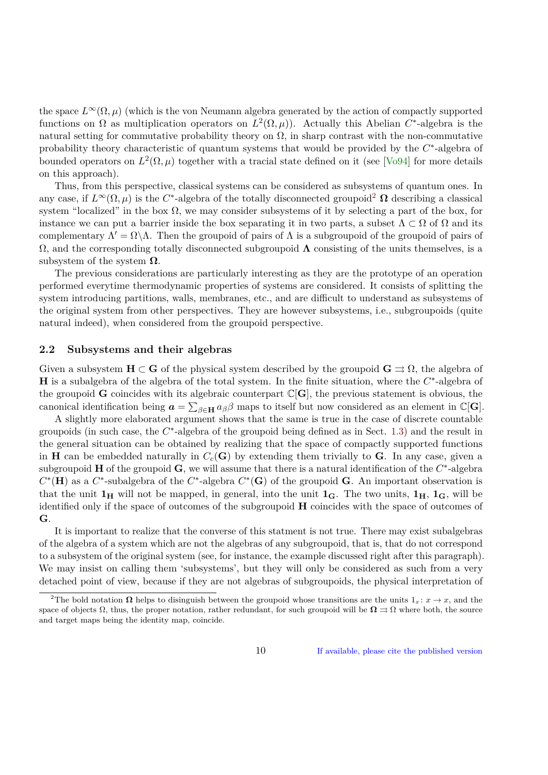the space  $L^{\infty}(\Omega,\mu)$  (which is the von Neumann algebra generated by the action of compactly supported functions on  $\Omega$  as multiplication operators on  $L^2(\Omega,\mu)$ ). Actually this Abelian *C*<sup>\*</sup>-algebra is the natural setting for commutative probability theory on  $\Omega$ , in sharp contrast with the non-commutative probability theory characteristic of quantum systems that would be provided by the  $C^*$ -algebra of bounded operators on  $L^2(\Omega,\mu)$  together with a tracial state defined on it (see [\[Vo94\]](#page-31-7) for more details on this approach).

Thus, from this perspective, classical systems can be considered as subsystems of quantum ones. In any case, if  $L^{\infty}(\Omega, \mu)$  is the *C*<sup>\*</sup>-algebra of the totally disconnected groupoid<sup>[2](#page-9-1)</sup>  $\Omega$  describing a classical system "localized" in the box  $\Omega$ , we may consider subsystems of it by selecting a part of the box, for instance we can put a barrier inside the box separating it in two parts, a subset  $\Lambda \subset \Omega$  of  $\Omega$  and its complementary  $\Lambda' = \Omega \backslash \Lambda$ . Then the groupoid of pairs of  $\Lambda$  is a subgroupoid of the groupoid of pairs of  $\Omega$ , and the corresponding totally disconnected subgroupoid  $\Lambda$  consisting of the units themselves, is a subsystem of the system **Ω**.

The previous considerations are particularly interesting as they are the prototype of an operation performed everytime thermodynamic properties of systems are considered. It consists of splitting the system introducing partitions, walls, membranes, etc., and are difficult to understand as subsystems of the original system from other perspectives. They are however subsystems, i.e., subgroupoids (quite natural indeed), when considered from the groupoid perspective.

#### <span id="page-9-0"></span>**2.2 Subsystems and their algebras**

Given a subsystem **H**  $\subset$  **G** of the physical system described by the groupoid  $\mathbf{G} \rightrightarrows \Omega$ , the algebra of **H** is a subalgebra of the algebra of the total system. In the finite situation, where the *C* ∗ -algebra of the groupoid **G** coincides with its algebraic counterpart  $\mathbb{C}[G]$ , the previous statement is obvious, the canonical identification being  $\mathbf{a} = \sum_{\beta \in \mathbf{H}} a_{\beta} \beta$  maps to itself but now considered as an element in  $\mathbb{C}[\mathbf{G}]$ .

A slightly more elaborated argument shows that the same is true in the case of discrete countable groupoids (in such case, the  $C^*$ -algebra of the groupoid being defined as in Sect. [1.3\)](#page-4-0) and the result in the general situation can be obtained by realizing that the space of compactly supported functions in **H** can be embedded naturally in  $C_c(G)$  by extending them trivially to G. In any case, given a subgroupoid **H** of the groupoid  $\bf{G}$ , we will assume that there is a natural identification of the  $C^*$ -algebra  $C^*(\mathbf{H})$  as a  $C^*$ -subalgebra of the  $C^*$ -algebra  $C^*(\mathbf{G})$  of the groupoid  $\mathbf{G}$ . An important observation is that the unit  $\mathbf{1}_{\mathbf{H}}$  will not be mapped, in general, into the unit  $\mathbf{1}_{\mathbf{G}}$ . The two units,  $\mathbf{1}_{\mathbf{H}}$ ,  $\mathbf{1}_{\mathbf{G}}$ , will be identified only if the space of outcomes of the subgroupoid **H** coincides with the space of outcomes of **G**.

It is important to realize that the converse of this statment is not true. There may exist subalgebras of the algebra of a system which are not the algebras of any subgroupoid, that is, that do not correspond to a subsystem of the original system (see, for instance, the example discussed right after this paragraph). We may insist on calling them 'subsystems', but they will only be considered as such from a very detached point of view, because if they are not algebras of subgroupoids, the physical interpretation of

<span id="page-9-1"></span><sup>&</sup>lt;sup>2</sup>The bold notation  $\Omega$  helps to disinguish between the groupoid whose transitions are the units  $1_x : x \to x$ , and the space of objects  $\Omega$ , thus, the proper notation, rather redundant, for such groupoid will be  $\Omega \rightrightarrows \Omega$  where both, the source and target maps being the identity map, coincide.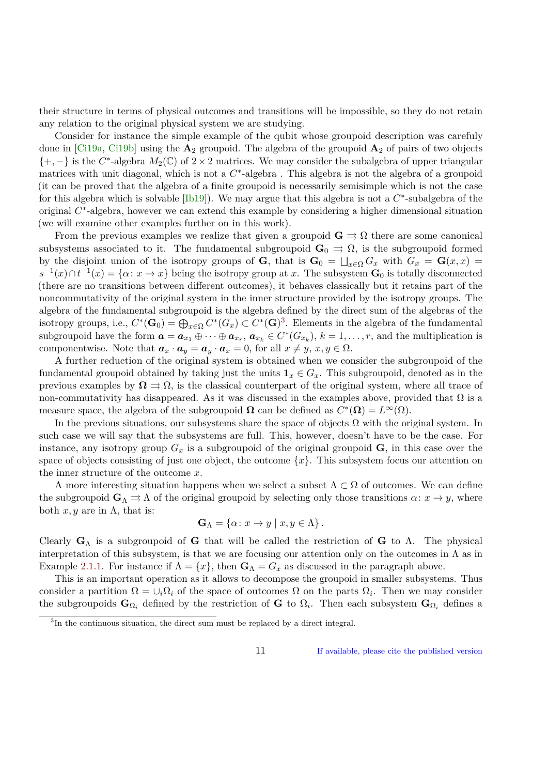their structure in terms of physical outcomes and transitions will be impossible, so they do not retain any relation to the original physical system we are studying.

Consider for instance the simple example of the qubit whose groupoid description was carefuly done in [\[Ci19a,](#page-30-1) [Ci19b\]](#page-30-2) using the **A**<sup>2</sup> groupoid. The algebra of the groupoid **A**<sup>2</sup> of pairs of two objects  $\{+, -\}$  is the *C*<sup>\*</sup>-algebra  $M_2(\mathbb{C})$  of 2 × 2 matrices. We may consider the subalgebra of upper triangular matrices with unit diagonal, which is not a  $C^*$ -algebra. This algebra is not the algebra of a groupoid (it can be proved that the algebra of a finite groupoid is necessarily semisimple which is not the case for this algebra which is solvable [\[Ib19\]](#page-30-12)). We may argue that this algebra is not a  $C^*$ -subalgebra of the original  $C^*$ -algebra, however we can extend this example by considering a higher dimensional situation (we will examine other examples further on in this work).

From the previous examples we realize that given a groupoid  $\mathbf{G} \rightrightarrows \Omega$  there are some canonical subsystems associated to it. The fundamental subgroupoid  $\mathbf{G}_0 \Rightarrow \Omega$ , is the subgroupoid formed by the disjoint union of the isotropy groups of **G**, that is  $\mathbf{G}_0 = \bigsqcup_{x \in \Omega} G_x$  with  $G_x = \mathbf{G}(x, x) =$  $s^{-1}(x) \cap t^{-1}(x) = \{ \alpha \colon x \to x \}$  being the isotropy group at *x*. The subsystem **G**<sub>0</sub> is totally disconnected (there are no transitions between different outcomes), it behaves classically but it retains part of the noncommutativity of the original system in the inner structure provided by the isotropy groups. The algebra of the fundamental subgroupoid is the algebra defined by the direct sum of the algebras of the isotropy groups, i.e.,  $C^*(\mathbf{G}_0) = \bigoplus_{x \in \Omega} C^*(G_x) \subset C^*(\mathbf{G})^3$  $C^*(\mathbf{G}_0) = \bigoplus_{x \in \Omega} C^*(G_x) \subset C^*(\mathbf{G})^3$ . Elements in the algebra of the fundamental subgroupoid have the form  $a = a_{x_1} \oplus \cdots \oplus a_{x_r}, a_{x_k} \in C^*(G_{x_k}), k = 1, \ldots, r$ , and the multiplication is componentwise. Note that  $a_x \cdot a_y = a_y \cdot a_x = 0$ , for all  $x \neq y$ ,  $x, y \in \Omega$ .

A further reduction of the original system is obtained when we consider the subgroupoid of the fundamental groupoid obtained by taking just the units  $\mathbf{1}_x \in G_x$ . This subgroupoid, denoted as in the previous examples by  $\Omega \rightrightarrows \Omega$ , is the classical counterpart of the original system, where all trace of non-commutativity has disappeared. As it was discussed in the examples above, provided that  $\Omega$  is a measure space, the algebra of the subgroupoid  $\Omega$  can be defined as  $C^*(\Omega) = L^{\infty}(\Omega)$ .

In the previous situations, our subsystems share the space of objects  $\Omega$  with the original system. In such case we will say that the subsystems are full. This, however, doesn't have to be the case. For instance, any isotropy group  $G_x$  is a subgroupoid of the original groupoid  $\bf{G}$ , in this case over the space of objects consisting of just one object, the outcome  ${x}$ . This subsystem focus our attention on the inner structure of the outcome *x*.

A more interesting situation happens when we select a subset  $\Lambda \subset \Omega$  of outcomes. We can define the subgroupoid  $\mathbf{G}_{\Lambda} \rightrightarrows \Lambda$  of the original groupoid by selecting only those transitions  $\alpha \colon x \to y$ , where both  $x, y$  are in  $\Lambda$ , that is:

$$
\mathbf{G}_{\Lambda} = \{ \alpha \colon x \to y \mid x, y \in \Lambda \}.
$$

Clearly  $G_\Lambda$  is a subgroupoid of **G** that will be called the restriction of **G** to  $\Lambda$ . The physical interpretation of this subsystem, is that we are focusing our attention only on the outcomes in  $\Lambda$  as in Example [2.1.1.](#page-7-1) For instance if  $\Lambda = \{x\}$ , then  $\mathbf{G}_{\Lambda} = G_x$  as discussed in the paragraph above.

This is an important operation as it allows to decompose the groupoid in smaller subsystems. Thus consider a partition  $\Omega = \cup_i \Omega_i$  of the space of outcomes  $\Omega$  on the parts  $\Omega_i$ . Then we may consider the subgroupoids  $\mathbf{G}_{\Omega_i}$  defined by the restriction of  $\mathbf{G}$  to  $\Omega_i$ . Then each subsystem  $\mathbf{G}_{\Omega_i}$  defines a

<span id="page-10-0"></span><sup>&</sup>lt;sup>3</sup>In the continuous situation, the direct sum must be replaced by a direct integral.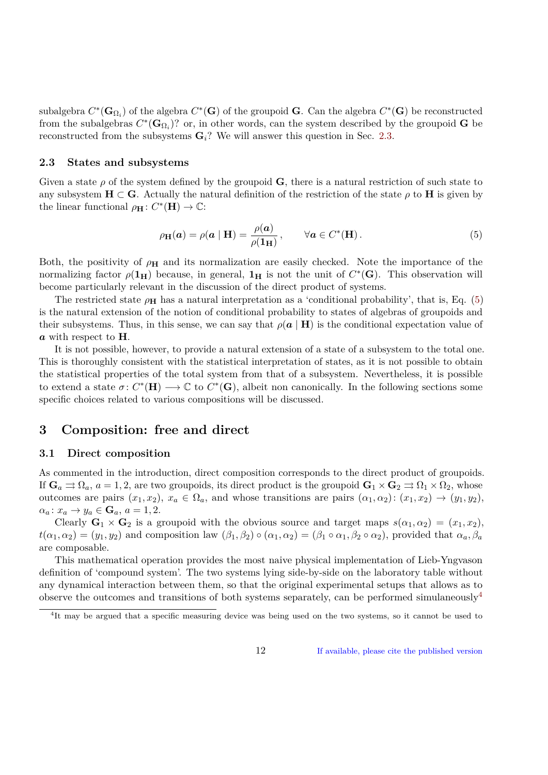subalgebra  $C^*(\mathbf{G}_{\Omega_i})$  of the algebra  $C^*(\mathbf{G})$  of the groupoid  $\mathbf{G}$ . Can the algebra  $C^*(\mathbf{G})$  be reconstructed from the subalgebras  $C^*(\mathbf{G}_{\Omega_i})$ ? or, in other words, can the system described by the groupoid **G** be reconstructed from the subsystems  $\mathbf{G}_i$ ? We will answer this question in Sec. [2.3.](#page-11-0)

#### <span id="page-11-0"></span>**2.3 States and subsystems**

Given a state  $\rho$  of the system defined by the groupoid **G**, there is a natural restriction of such state to any subsystem  $H \subset G$ . Actually the natural definition of the restriction of the state  $\rho$  to H is given by the linear functional  $\rho_{\mathbf{H}}: C^*(\mathbf{H}) \to \mathbb{C}$ :

<span id="page-11-3"></span>
$$
\rho_{\mathbf{H}}(\mathbf{a}) = \rho(\mathbf{a} \mid \mathbf{H}) = \frac{\rho(\mathbf{a})}{\rho(\mathbf{1}_{\mathbf{H}})}, \qquad \forall \mathbf{a} \in C^*(\mathbf{H}).
$$
\n(5)

Both, the positivity of  $\rho$ **H** and its normalization are easily checked. Note the importance of the normalizing factor  $\rho(\mathbf{1}_{\mathbf{H}})$  because, in general,  $\mathbf{1}_{\mathbf{H}}$  is not the unit of  $C^*(\mathbf{G})$ . This observation will become particularly relevant in the discussion of the direct product of systems.

The restricted state  $\rho_{\mathbf{H}}$  has a natural interpretation as a 'conditional probability', that is, Eq. [\(5\)](#page-11-3) is the natural extension of the notion of conditional probability to states of algebras of groupoids and their subsystems. Thus, in this sense, we can say that  $\rho(a | H)$  is the conditional expectation value of *a* with respect to **H**.

It is not possible, however, to provide a natural extension of a state of a subsystem to the total one. This is thoroughly consistent with the statistical interpretation of states, as it is not possible to obtain the statistical properties of the total system from that of a subsystem. Nevertheless, it is possible to extend a state  $\sigma: C^*(\mathbf{H}) \longrightarrow \mathbb{C}$  to  $C^*(\mathbf{G})$ , albeit non canonically. In the following sections some specific choices related to various compositions will be discussed.

### <span id="page-11-1"></span>**3 Composition: free and direct**

#### <span id="page-11-2"></span>**3.1 Direct composition**

As commented in the introduction, direct composition corresponds to the direct product of groupoids. If  $\mathbf{G}_a \rightrightarrows \Omega_a$ ,  $a = 1, 2$ , are two groupoids, its direct product is the groupoid  $\mathbf{G}_1 \times \mathbf{G}_2 \rightrightarrows \Omega_1 \times \Omega_2$ , whose outcomes are pairs  $(x_1, x_2)$ ,  $x_a \in \Omega_a$ , and whose transitions are pairs  $(\alpha_1, \alpha_2) : (x_1, x_2) \to (y_1, y_2)$ ,  $\alpha_a: x_a \to y_a \in \mathbf{G}_a, a = 1, 2.$ 

Clearly  $\mathbf{G}_1 \times \mathbf{G}_2$  is a groupoid with the obvious source and target maps  $s(\alpha_1, \alpha_2) = (x_1, x_2)$ ,  $t(\alpha_1, \alpha_2) = (y_1, y_2)$  and composition law  $(\beta_1, \beta_2) \circ (\alpha_1, \alpha_2) = (\beta_1 \circ \alpha_1, \beta_2 \circ \alpha_2)$ , provided that  $\alpha_a, \beta_a$ are composable.

This mathematical operation provides the most naive physical implementation of Lieb-Yngvason definition of 'compound system'. The two systems lying side-by-side on the laboratory table without any dynamical interaction between them, so that the original experimental setups that allows as to observe the outcomes and transitions of both systems separately, can be performed simulaneously<sup>[4](#page-11-4)</sup>

<span id="page-11-4"></span><sup>&</sup>lt;sup>4</sup>It may be argued that a specific measuring device was being used on the two systems, so it cannot be used to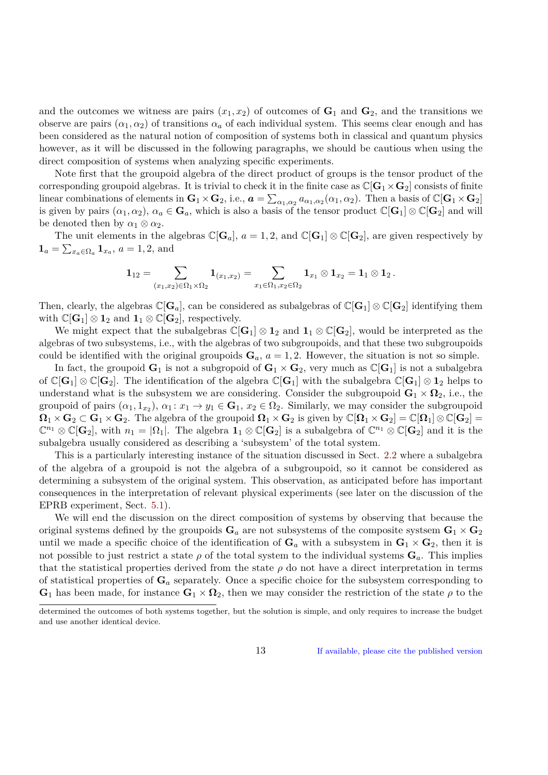and the outcomes we witness are pairs  $(x_1, x_2)$  of outcomes of  $G_1$  and  $G_2$ , and the transitions we observe are pairs  $(\alpha_1, \alpha_2)$  of transitions  $\alpha_a$  of each individual system. This seems clear enough and has been considered as the natural notion of composition of systems both in classical and quantum physics however, as it will be discussed in the following paragraphs, we should be cautious when using the direct composition of systems when analyzing specific experiments.

Note first that the groupoid algebra of the direct product of groups is the tensor product of the corresponding groupoid algebras. It is trivial to check it in the finite case as  $\mathbb{C}[G_1\times G_2]$  consists of finite linear combinations of elements in  $\mathbf{G}_1 \times \mathbf{G}_2$ , i.e.,  $\boldsymbol{a} = \sum_{\alpha_1,\alpha_2} a_{\alpha_1,\alpha_2}(\alpha_1,\alpha_2)$ . Then a basis of  $\mathbb{C}[\mathbf{G}_1 \times \mathbf{G}_2]$ is given by pairs  $(\alpha_1, \alpha_2)$ ,  $\alpha_a \in \mathbf{G}_a$ , which is also a basis of the tensor product  $\mathbb{C}[\mathbf{G}_1] \otimes \mathbb{C}[\mathbf{G}_2]$  and will be denoted then by  $\alpha_1 \otimes \alpha_2$ .

The unit elements in the algebras  $\mathbb{C}[G_a]$ ,  $a = 1, 2$ , and  $\mathbb{C}[G_1] \otimes \mathbb{C}[G_2]$ , are given respectively by  $\mathbf{1}_a = \sum_{x_a \in \Omega_a} \mathbf{1}_{x_a}, \ a = 1, 2, \text{ and}$ 

$$
\mathbf{1}_{12} = \sum_{(x_1,x_2) \in \Omega_1 \times \Omega_2} \mathbf{1}_{(x_1,x_2)} = \sum_{x_1 \in \Omega_1, x_2 \in \Omega_2} \mathbf{1}_{x_1} \otimes \mathbf{1}_{x_2} = \mathbf{1}_1 \otimes \mathbf{1}_2 \, .
$$

Then, clearly, the algebras  $\mathbb{C}[G_a]$ , can be considered as subalgebras of  $\mathbb{C}[G_1] \otimes \mathbb{C}[G_2]$  identifying them with  $\mathbb{C}[G_1] \otimes \mathbf{1}_2$  and  $\mathbf{1}_1 \otimes \mathbb{C}[G_2]$ , respectively.

We might expect that the subalgebras  $\mathbb{C}[G_1] \otimes 1_2$  and  $1_1 \otimes \mathbb{C}[G_2]$ , would be interpreted as the algebras of two subsystems, i.e., with the algebras of two subgroupoids, and that these two subgroupoids could be identified with the original groupoids  $\mathbf{G}_a$ ,  $a = 1, 2$ . However, the situation is not so simple.

In fact, the groupoid  $G_1$  is not a subgropoid of  $G_1 \times G_2$ , very much as  $\mathbb{C}[G_1]$  is not a subalgebra of  $\mathbb{C}[G_1] \otimes \mathbb{C}[G_2]$ . The identification of the algebra  $\mathbb{C}[G_1]$  with the subalgebra  $\mathbb{C}[G_1] \otimes \mathbb{1}_2$  helps to understand what is the subsystem we are considering. Consider the subgroupoid  $\mathbf{G}_1 \times \mathbf{\Omega}_2$ , i.e., the groupoid of pairs  $(\alpha_1, 1_{x_2}), \alpha_1 \colon x_1 \to y_1 \in \mathbf{G}_1, x_2 \in \Omega_2$ . Similarly, we may consider the subgroupoid  $\mathbf{\Omega}_1 \times \mathbf{G}_2 \subset \mathbf{G}_1 \times \mathbf{G}_2$ . The algebra of the groupoid  $\mathbf{\Omega}_1 \times \mathbf{G}_2$  is given by  $\mathbb{C}[\mathbf{\Omega}_1 \times \mathbf{G}_2] = \mathbb{C}[\mathbf{\Omega}_1] \otimes \mathbb{C}[\mathbf{G}_2] =$  $\mathbb{C}^{n_1} \otimes \mathbb{C}[\mathbf{G}_2]$ , with  $n_1 = |\Omega_1|$ . The algebra  $\mathbf{1}_1 \otimes \mathbb{C}[\mathbf{G}_2]$  is a subalgebra of  $\mathbb{C}^{n_1} \otimes \mathbb{C}[\mathbf{G}_2]$  and it is the subalgebra usually considered as describing a 'subsystem' of the total system.

This is a particularly interesting instance of the situation discussed in Sect. [2.2](#page-9-0) where a subalgebra of the algebra of a groupoid is not the algebra of a subgroupoid, so it cannot be considered as determining a subsystem of the original system. This observation, as anticipated before has important consequences in the interpretation of relevant physical experiments (see later on the discussion of the EPRB experiment, Sect. [5.1\)](#page-24-1).

We will end the discussion on the direct composition of systems by observing that because the original systems defined by the groupoids  $\mathbf{G}_a$  are not subsystems of the composite systsem  $\mathbf{G}_1 \times \mathbf{G}_2$ until we made a specific choice of the identification of  $\mathbf{G}_a$  with a subsystem in  $\mathbf{G}_1 \times \mathbf{G}_2$ , then it is not possible to just restrict a state  $\rho$  of the total system to the individual systems  $\mathbf{G}_a$ . This implies that the statistical properties derived from the state  $\rho$  do not have a direct interpretation in terms of statistical properties of  $\mathbf{G}_a$  separately. Once a specific choice for the subsystem corresponding to  $\mathbf{G}_1$  has been made, for instance  $\mathbf{G}_1 \times \mathbf{\Omega}_2$ , then we may consider the restriction of the state  $\rho$  to the

determined the outcomes of both systems together, but the solution is simple, and only requires to increase the budget and use another identical device.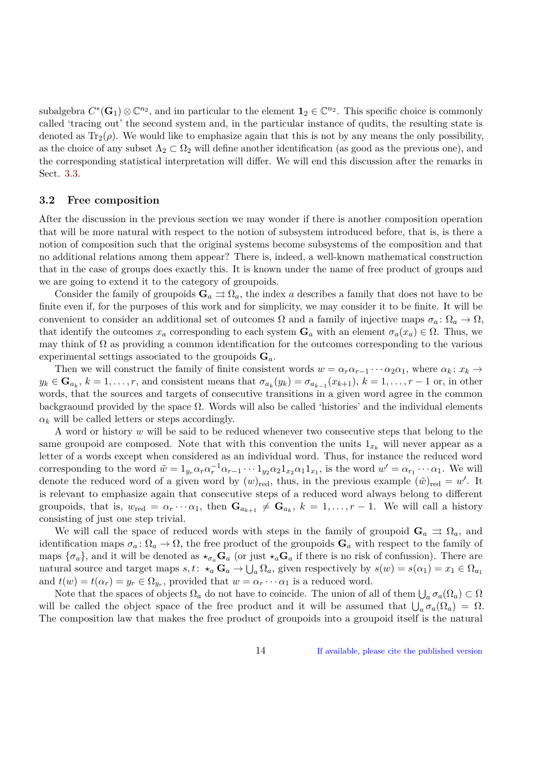subalgebra  $C^*(\mathbf{G}_1) \otimes \mathbb{C}^{n_2}$ , and im particular to the element  $\mathbf{1}_2 \in \mathbb{C}^{n_2}$ . This specific choice is commonly called 'tracing out' the second system and, in the particular instance of qudits, the resulting state is denoted as  $Tr_2(\rho)$ . We would like to emphasize again that this is not by any means the only possibility, as the choice of any subset  $\Lambda_2 \subset \Omega_2$  will define another identification (as good as the previous one), and the corresponding statistical interpretation will differ. We will end this discussion after the remarks in Sect. [3.3.](#page-14-0)

#### <span id="page-13-0"></span>**3.2 Free composition**

After the discussion in the previous section we may wonder if there is another composition operation that will be more natural with respect to the notion of subsystem introduced before, that is, is there a notion of composition such that the original systems become subsystems of the composition and that no additional relations among them appear? There is, indeed, a well-known mathematical construction that in the case of groups does exactly this. It is known under the name of free product of groups and we are going to extend it to the category of groupoids.

Consider the family of groupoids  $\mathbf{G}_a \rightrightarrows \Omega_a$ , the index *a* describes a family that does not have to be finite even if, for the purposes of this work and for simplicity, we may consider it to be finite. It will be convenient to consider an additional set of outcomes  $\Omega$  and a family of injective maps  $\sigma_a: \Omega_a \to \Omega$ , that identify the outcomes  $x_a$  corresponding to each system  $\mathbf{G}_a$  with an element  $\sigma_a(x_a) \in \Omega$ . Thus, we may think of  $\Omega$  as providing a common identification for the outcomes corresponding to the various experimental settings associated to the groupoids **G***a*.

Then we will construct the family of finite consistent words  $w = \alpha_r \alpha_{r-1} \cdots \alpha_2 \alpha_1$ , where  $\alpha_k : x_k \to$  $y_k \in \mathbf{G}_{a_k}$ ,  $k = 1, \ldots, r$ , and consistent means that  $\sigma_{a_k}(y_k) = \sigma_{a_{k-1}}(x_{k+1}), k = 1, \ldots, r-1$  or, in other words, that the sources and targets of consecutive transitions in a given word agree in the common backgraound provided by the space  $\Omega$ . Words will also be called 'histories' and the individual elements  $\alpha_k$  will be called letters or steps accordingly.

A word or history *w* will be said to be reduced whenever two consecutive steps that belong to the same groupoid are composed. Note that with this convention the units  $1_{x_k}$  will never appear as a letter of a words except when considered as an individual word. Thus, for instance the reduced word corresponding to the word  $\tilde{w} = 1_{y_r} \alpha_r \alpha_r^{-1} \alpha_{r-1} \cdots 1_{y_2} \alpha_2 1_{x_2} \alpha_1 1_{x_1}$ , is the word  $w' = \alpha_{r_1} \cdots \alpha_1$ . We will denote the reduced word of a given word by  $(w)_{\text{red}}$ , thus, in the previous example  $(\tilde{w})_{\text{red}} = w'$ . It is relevant to emphasize again that consecutive steps of a reduced word always belong to different groupoids, that is,  $w_{\text{red}} = \alpha_r \cdots \alpha_1$ , then  $\mathbf{G}_{a_{k+1}} \neq \mathbf{G}_{a_k}$ ,  $k = 1, \ldots, r-1$ . We will call a history consisting of just one step trivial.

We will call the space of reduced words with steps in the family of groupoid  $\mathbf{G}_a \Rightarrow \Omega_a$ , and identification maps  $\sigma_a: \Omega_a \to \Omega$ , the free product of the groupoids  $\mathbf{G}_a$  with respect to the family of maps  $\{\sigma_a\}$ , and it will be denoted as  $\star_{\sigma_a} \mathbf{G}_a$  (or just  $\star_a \mathbf{G}_a$  if there is no risk of confussion). There are natural source and target maps  $s, t: \star_a \mathbf{G}_a \to \bigcup_a \Omega_a$ , given respectively by  $s(w) = s(\alpha_1) = x_1 \in \Omega_{a_1}$ and  $t(w) = t(\alpha_r) = y_r \in \Omega_{y_r}$ , provided that  $w = \alpha_r \cdots \alpha_1$  is a reduced word.

Note that the spaces of objects  $\Omega_a$  do not have to coincide. The union of all of them  $\bigcup_a \sigma_a(\Omega_a) \subset \Omega$ will be called the object space of the free product and it will be assumed that  $\bigcup_a \sigma_a(\Omega_a) = \Omega$ . The composition law that makes the free product of groupoids into a groupoid itself is the natural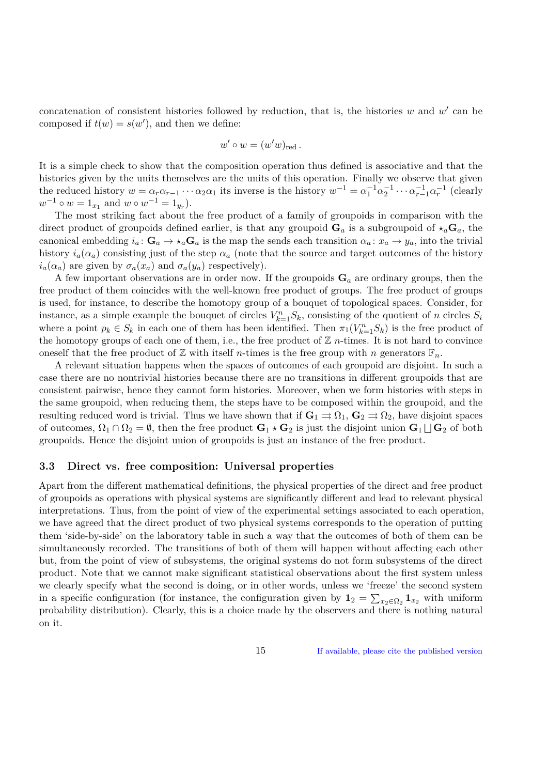concatenation of consistent histories followed by reduction, that is, the histories  $w$  and  $w'$  can be composed if  $t(w) = s(w')$ , and then we define:

$$
w' \circ w = (w'w)_{\text{red}}.
$$

It is a simple check to show that the composition operation thus defined is associative and that the histories given by the units themselves are the units of this operation. Finally we observe that given the reduced history  $w = \alpha_r \alpha_{r-1} \cdots \alpha_2 \alpha_1$  its inverse is the history  $w^{-1} = \alpha_1^{-1} \alpha_2^{-1} \cdots \alpha_{r-1}^{-1} \alpha_r^{-1}$  (clearly  $w^{-1} \circ w = 1_{x_1}$  and  $w \circ w^{-1} = 1_{y_r}$ .

The most striking fact about the free product of a family of groupoids in comparison with the direct product of groupoids defined earlier, is that any groupoid  $\mathbf{G}_a$  is a subgroupoid of  $\star_a \mathbf{G}_a$ , the canonical embedding  $i_a: \mathbf{G}_a \to \star_a \mathbf{G}_a$  is the map the sends each transition  $\alpha_a: x_a \to y_a$ , into the trivial history  $i_a(\alpha_a)$  consisting just of the step  $\alpha_a$  (note that the source and target outcomes of the history  $i_a(\alpha_a)$  are given by  $\sigma_a(x_a)$  and  $\sigma_a(y_a)$  respectively).

A few important observations are in order now. If the groupoids **G***<sup>a</sup>* are ordinary groups, then the free product of them coincides with the well-known free product of groups. The free product of groups is used, for instance, to describe the homotopy group of a bouquet of topological spaces. Consider, for instance, as a simple example the bouquet of circles  $V_{k=1}^n S_k$ , consisting of the quotient of *n* circles  $S_i$ where a point  $p_k \in S_k$  in each one of them has been identified. Then  $\pi_1(V_{k=1}^n S_k)$  is the free product of the homotopy groups of each one of them, i.e., the free product of  $\mathbb Z$  *n*-times. It is not hard to convince oneself that the free product of  $\mathbb Z$  with itself *n*-times is the free group with *n* generators  $\mathbb F_n$ .

A relevant situation happens when the spaces of outcomes of each groupoid are disjoint. In such a case there are no nontrivial histories because there are no transitions in different groupoids that are consistent pairwise, hence they cannot form histories. Moreover, when we form histories with steps in the same groupoid, when reducing them, the steps have to be composed within the groupoid, and the resulting reduced word is trivial. Thus we have shown that if  $\mathbf{G}_1 \rightrightarrows \Omega_1$ ,  $\mathbf{G}_2 \rightrightarrows \Omega_2$ , have disjoint spaces of outcomes,  $\Omega_1 \cap \Omega_2 = \emptyset$ , then the free product  $G_1 \star G_2$  is just the disjoint union  $G_1 \sqcup G_2$  of both groupoids. Hence the disjoint union of groupoids is just an instance of the free product.

#### <span id="page-14-0"></span>**3.3 Direct vs. free composition: Universal properties**

Apart from the different mathematical definitions, the physical properties of the direct and free product of groupoids as operations with physical systems are significantly different and lead to relevant physical interpretations. Thus, from the point of view of the experimental settings associated to each operation, we have agreed that the direct product of two physical systems corresponds to the operation of putting them 'side-by-side' on the laboratory table in such a way that the outcomes of both of them can be simultaneously recorded. The transitions of both of them will happen without affecting each other but, from the point of view of subsystems, the original systems do not form subsystems of the direct product. Note that we cannot make significant statistical observations about the first system unless we clearly specify what the second is doing, or in other words, unless we 'freeze' the second system in a specific configuration (for instance, the configuration given by  $\mathbf{1}_2 = \sum_{x_2 \in \Omega_2} \mathbf{1}_{x_2}$  with uniform probability distribution). Clearly, this is a choice made by the observers and there is nothing natural on it.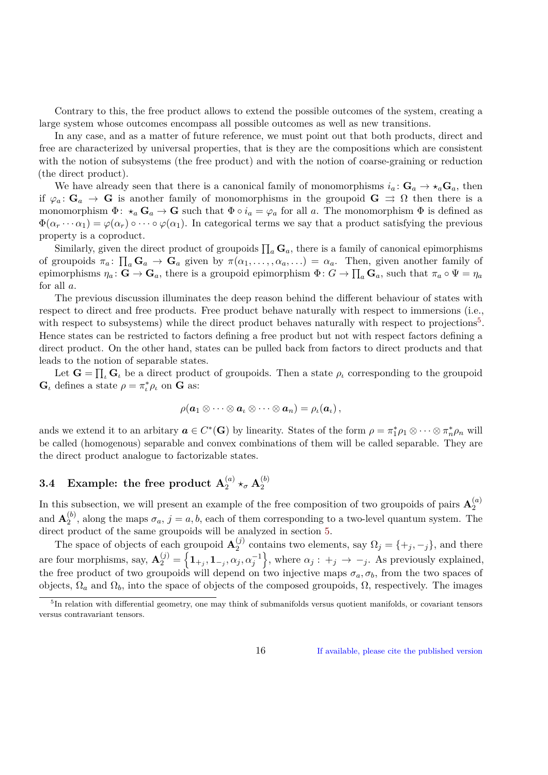Contrary to this, the free product allows to extend the possible outcomes of the system, creating a large system whose outcomes encompass all possible outcomes as well as new transitions.

In any case, and as a matter of future reference, we must point out that both products, direct and free are characterized by universal properties, that is they are the compositions which are consistent with the notion of subsystems (the free product) and with the notion of coarse-graining or reduction (the direct product).

We have already seen that there is a canonical family of monomorphisms  $i_a: \mathbf{G}_a \to \star_a \mathbf{G}_a$ , then if  $\varphi_a: \mathbf{G}_a \to \mathbf{G}$  is another family of monomorphisms in the groupoid  $\mathbf{G} \Rightarrow \Omega$  then there is a monomorphism  $\Phi: \star_a \mathbf{G}_a \to \mathbf{G}$  such that  $\Phi \circ i_a = \varphi_a$  for all *a*. The monomorphism  $\Phi$  is defined as  $\Phi(\alpha_r \cdots \alpha_1) = \varphi(\alpha_r) \circ \cdots \circ \varphi(\alpha_1)$ . In categorical terms we say that a product satisfying the previous property is a coproduct.

Similarly, given the direct product of groupoids  $\prod_a \mathbf{G}_a$ , there is a family of canonical epimorphisms of groupoids  $\pi_a: \prod_a \mathbf{G}_a \to \mathbf{G}_a$  given by  $\pi(\alpha_1, \ldots, \alpha_a, \ldots) = \alpha_a$ . Then, given another family of epimorphisms  $\eta_a: \mathbf{G} \to \mathbf{G}_a$ , there is a groupoid epimorphism  $\Phi: G \to \prod_a \mathbf{G}_a$ , such that  $\pi_a \circ \Psi = \eta_a$ for all *a*.

The previous discussion illuminates the deep reason behind the different behaviour of states with respect to direct and free products. Free product behave naturally with respect to immersions (i.e., with respect to subsystems) while the direct product behaves naturally with respect to projections<sup>[5](#page-15-1)</sup>. Hence states can be restricted to factors defining a free product but not with respect factors defining a direct product. On the other hand, states can be pulled back from factors to direct products and that leads to the notion of separable states.

Let  $G = \prod_{\iota} G_{\iota}$  be a direct product of groupoids. Then a state  $\rho_{\iota}$  corresponding to the groupoid **G**<sub>*ι*</sub> defines a state  $\rho = \pi^*_{\iota} \rho_{\iota}$  on **G** as:

$$
\rho(\boldsymbol{a}_1\otimes\cdots\otimes\boldsymbol{a}_\iota\otimes\cdots\otimes\boldsymbol{a}_n)=\rho_\iota(\boldsymbol{a}_\iota)\,,
$$

ands we extend it to an arbitary  $a \in C^*(G)$  by linearity. States of the form  $\rho = \pi_1^* \rho_1 \otimes \cdots \otimes \pi_n^* \rho_n$  will be called (homogenous) separable and convex combinations of them will be called separable. They are the direct product analogue to factorizable states.

#### <span id="page-15-0"></span> $\textbf{3.4} \quad \textbf{Example: the free product} \,\, \mathbf{A}_{2}^{(a)} \star_\sigma \mathbf{A}_{2}^{(b)}$ 2

In this subsection, we will present an example of the free composition of two groupoids of pairs  $\mathbf{A}_2^{(a)}$ 2 and  $\mathbf{A}_2^{(b)}$  $\sigma_2^{(0)}$ , along the maps  $\sigma_a$ ,  $j = a, b$ , each of them corresponding to a two-level quantum system. The direct product of the same groupoids will be analyzed in section [5.](#page-24-0)

The space of objects of each groupoid  $\mathbf{A}_2^{(j)}$  $\Omega_2^{(j)}$  contains two elements, say  $\Omega_j = \{+_j, -_j\}$ , and there are four morphisms, say,  $\mathbf{A}_2^{(j)} = \left\{ \mathbf{1}_{+_j}, \mathbf{1}_{-_j}, \alpha_j, \alpha_j^{-1} \right\}$ , where  $\alpha_j : +_j \rightarrow -_j$ . As previously explained, the free product of two groupoids will depend on two injective maps  $\sigma_a, \sigma_b$ , from the two spaces of objects,  $\Omega_a$  and  $\Omega_b$ , into the space of objects of the composed groupoids,  $\Omega$ , respectively. The images

<span id="page-15-1"></span><sup>&</sup>lt;sup>5</sup>In relation with differential geometry, one may think of submanifolds versus quotient manifolds, or covariant tensors versus contravariant tensors.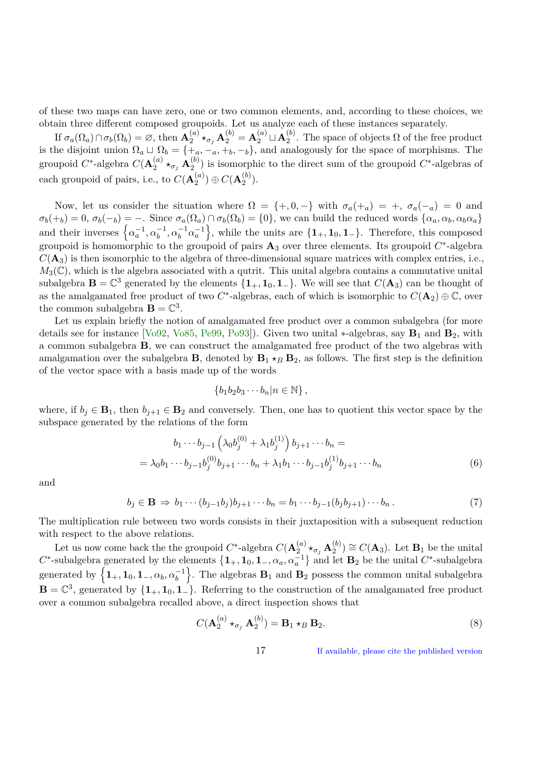of these two maps can have zero, one or two common elements, and, according to these choices, we obtain three different composed groupoids. Let us analyze each of these instances separately.

If  $\sigma_a(\Omega_a) \cap \sigma_b(\Omega_b) = \varnothing$ , then  $\mathbf{A}_2^{(a)}$  $\mathbf{A}_{2}^{(a)} \star_{\sigma_{j}} \mathbf{A}_{2}^{(b)} = \mathbf{A}_{2}^{(a)} \sqcup \mathbf{A}_{2}^{(b)}$  $2^{\binom{0}{2}}$ . The space of objects  $\Omega$  of the free product is the disjoint union  $\Omega_a \sqcup \Omega_b = \{+_a, -_a, +_b, -_b\}$ , and analogously for the space of morphisms. The groupoid  $C^*$ -algebra  $C(\mathbf{A}_2^{(a)})$  $\frac{(a)}{2} \star_{\sigma_j} \mathbf{A}_2^{(b)}$  $2^{(b)}$ ) is isomorphic to the direct sum of the groupoid  $C^*$ -algebras of each groupoid of pairs, i.e., to  $C(\mathbf{A}_2^{(a)})$  $\mathcal{C}(\mathbf{A}_2^{(b)})\oplus\mathcal{C}(\mathbf{A}_2^{(b)})$  $\binom{0}{2}$ .

Now, let us consider the situation where  $\Omega = \{+,0,-\}$  with  $\sigma_a(+_a) = +$ ,  $\sigma_a(-_a) = 0$  and  $\sigma_b(+_b) = 0, \sigma_b(-_b) = -$ . Since  $\sigma_a(\Omega_a) \cap \sigma_b(\Omega_b) = \{0\}$ , we can build the reduced words  $\{\alpha_a, \alpha_b, \alpha_b, \alpha_a\}$ and their inverses  $\{\alpha_a^{-1}, \alpha_b^{-1}, \alpha_b^{-1}\alpha_a^{-1}\},\$  while the units are  $\{1_+, 1_0, 1_-\}.$  Therefore, this composed groupoid is homomorphic to the groupoid of pairs  $A_3$  over three elements. Its groupoid  $C^*$ -algebra  $C(A_3)$  is then isomorphic to the algebra of three-dimensional square matrices with complex entries, i.e.,  $M_3(\mathbb{C})$ , which is the algebra associated with a qutrit. This unital algebra contains a commutative unital subalgebra  $\mathbf{B} = \mathbb{C}^3$  generated by the elements  $\{\mathbf{1}_+, \mathbf{1}_0, \mathbf{1}_-\}$ . We will see that  $C(\mathbf{A}_3)$  can be thought of as the amalgamated free product of two  $C^*$ -algebras, each of which is isomorphic to  $C(\mathbf{A}_2) \oplus \mathbb{C}$ , over the common subalgebra  $\mathbf{B} = \mathbb{C}^3$ .

Let us explain briefly the notion of amalgamated free product over a common subalgebra (for more details see for instance [\[Vo92,](#page-31-6) [Vo85,](#page-31-10) [Pe99,](#page-31-11) [Po93\]](#page-31-12)). Given two unital ∗-algebras, say **B**<sup>1</sup> and **B**2, with a common subalgebra **B**, we can construct the amalgamated free product of the two algebras with amalgamation over the subalgebra **B**, denoted by  $\mathbf{B}_1 \star_B \mathbf{B}_2$ , as follows. The first step is the definition of the vector space with a basis made up of the words

$$
\{b_1b_2b_3\cdots b_n|n\in\mathbb{N}\},\
$$

where, if  $b_j \in \mathbf{B}_1$ , then  $b_{j+1} \in \mathbf{B}_2$  and conversely. Then, one has to quotient this vector space by the subspace generated by the relations of the form

<span id="page-16-0"></span>
$$
b_1 \cdots b_{j-1} \left( \lambda_0 b_j^{(0)} + \lambda_1 b_j^{(1)} \right) b_{j+1} \cdots b_n =
$$
  
=  $\lambda_0 b_1 \cdots b_{j-1} b_j^{(0)} b_{j+1} \cdots b_n + \lambda_1 b_1 \cdots b_{j-1} b_j^{(1)} b_{j+1} \cdots b_n$  (6)

and

<span id="page-16-1"></span>
$$
b_j \in \mathbf{B} \implies b_1 \cdots (b_{j-1}b_j)b_{j+1} \cdots b_n = b_1 \cdots b_{j-1}(b_jb_{j+1}) \cdots b_n.
$$
 (7)

The multiplication rule between two words consists in their juxtaposition with a subsequent reduction with respect to the above relations.

Let us now come back the the groupoid  $C^*$ -algebra  $C(\mathbf{A}_2^{(a)})$  $\mathcal{L}_{2}^{(a)}\star_{\sigma_{j}}\mathbf{A}_{2}^{(b)}$  $\binom{b}{2}$   $\cong$  *C*(**A**<sub>3</sub>). Let **B**<sub>1</sub> be the unital  $C^*$ -subalgebra generated by the elements  $\{1_+, 1_0, 1_-, \alpha_a, \alpha_a^{-1}\}$  and let  $\mathbf{B}_2$  be the unital  $C^*$ -subalgebra generated by  $\left\{ \mathbf{1}_{+},\mathbf{1}_{0},\mathbf{1}_{-},\alpha_{b},\alpha_{b}^{-1}\right\}$ . The algebras  $\mathbf{B}_{1}$  and  $\mathbf{B}_{2}$  possess the common unital subalgebra  $\mathbf{B} = \mathbb{C}^3$ , generated by  $\{\mathbf{1}_+, \mathbf{1}_0, \mathbf{1}_-\}$ . Referring to the construction of the amalgamated free product over a common subalgebra recalled above, a direct inspection shows that

$$
C(\mathbf{A}_2^{(a)} \star_{\sigma_j} \mathbf{A}_2^{(b)}) = \mathbf{B}_1 \star_B \mathbf{B}_2.
$$
 (8)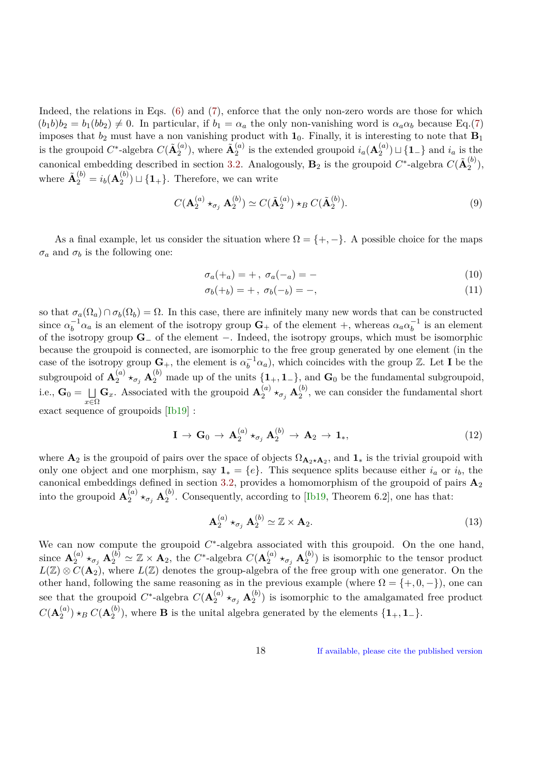Indeed, the relations in Eqs. [\(6\)](#page-16-0) and [\(7\)](#page-16-1), enforce that the only non-zero words are those for which  $(b_1b)b_2 = b_1(bb_2) \neq 0$ . In particular, if  $b_1 = \alpha_a$  the only non-vanishing word is  $\alpha_a\alpha_b$  because Eq.[\(7\)](#page-16-1) imposes that  $b_2$  must have a non vanishing product with  $\mathbf{1}_0$ . Finally, it is interesting to note that  $\mathbf{B}_1$ is the groupoid  $C^*$ -algebra  $C(\tilde{\mathbf{A}}_2^{(a)})$  $\tilde{\mathbf{A}}_2^{(a)}$ ), where  $\tilde{\mathbf{A}}_2^{(a)}$  $a_2^{(a)}$  is the extended groupoid  $i_a(\mathbf{A}_2^{(a)})$  $\binom{a}{2}$   $\cup$  {**1**−} and *i<sub>a</sub>* is the canonical embedding described in section [3.2.](#page-13-0) Analogously,  $\mathbf{B}_2$  is the groupoid  $C^*$ -algebra  $C(\tilde{\mathbf{A}}_2^{(b)}$  $\binom{0}{2}$ , where  $\tilde{\mathbf{A}}_2^{(b)} = i_b(\mathbf{A}_2^{(b)})$  $\binom{0}{2}$   $\sqcup$   $\{1_+\}$ . Therefore, we can write

$$
C(\mathbf{A}_2^{(a)} \star_{\sigma_j} \mathbf{A}_2^{(b)}) \simeq C(\tilde{\mathbf{A}}_2^{(a)}) \star_B C(\tilde{\mathbf{A}}_2^{(b)}).
$$
\n(9)

As a final example, let us consider the situation where  $\Omega = \{+, -\}$ . A possible choice for the maps  $\sigma_a$  and  $\sigma_b$  is the following one:

$$
\sigma_a(+_a) = + , \sigma_a(-_a) = - \tag{10}
$$

$$
\sigma_b(+_b) = + , \ \sigma_b(-_b) = - , \tag{11}
$$

so that  $\sigma_a(\Omega_a) \cap \sigma_b(\Omega_b) = \Omega$ . In this case, there are infinitely many new words that can be constructed since  $\alpha_b^{-1}\alpha_a$  is an element of the isotropy group  $\mathbf{G}_+$  of the element +, whereas  $\alpha_a\alpha_b^{-1}$  is an element of the isotropy group **G**<sup>−</sup> of the element −. Indeed, the isotropy groups, which must be isomorphic because the groupoid is connected, are isomorphic to the free group generated by one element (in the case of the isotropy group  $\mathbf{G}_+$ , the element is  $\alpha_b^{-1}\alpha_a$ , which coincides with the group Z. Let **I** be the subgroupoid of  $\mathbf{A}_2^{(a)}$  $\mathbf{A}_{2}^{(a)} \star_{\sigma_{j}} \mathbf{A}_{2}^{(b)}$  made up of the units  $\{\mathbf{1}_{+}, \mathbf{1}_{-}\},$  and  $\mathbf{G}_{0}$  be the fundamental subgroupoid, i.e.,  $\mathbf{G}_0 = \Box$  $\bigsqcup_{x \in \Omega} \mathbf{G}_x$ . Associated with the groupoid  $\mathbf{A}_2^{(a)}$  $\mathbf{A}_{2}^{(a)}\star_{\sigma_{j}}\mathbf{A}_{2}^{(b)}$  $2^{(0)}$ , we can consider the fundamental short exact sequence of groupoids [\[Ib19\]](#page-30-12) :

$$
\mathbf{I} \to \mathbf{G}_0 \to \mathbf{A}_2^{(a)} \star_{\sigma_j} \mathbf{A}_2^{(b)} \to \mathbf{A}_2 \to \mathbf{1}_*,
$$
 (12)

where  $\mathbf{A}_2$  is the groupoid of pairs over the space of objects  $\Omega_{\mathbf{A}_2 \star \mathbf{A}_2}$ , and  $\mathbf{1}_*$  is the trivial groupoid with only one object and one morphism, say  $\mathbf{1}_* = \{e\}$ . This sequence splits because either  $i_a$  or  $i_b$ , the canonical embeddings defined in section [3.2,](#page-13-0) provides a homomorphism of the groupoid of pairs **A**<sup>2</sup> into the groupoid  $\mathbf{A}_2^{(a)}$  $\mathbf{A}_{2}^{(a)}\star_{\sigma_{j}}\mathbf{A}_{2}^{(b)}$  $_{2}^{(0)}$ . Consequently, according to [\[Ib19,](#page-30-12) Theorem 6.2], one has that:

$$
\mathbf{A}_2^{(a)} \star_{\sigma_j} \mathbf{A}_2^{(b)} \simeq \mathbb{Z} \times \mathbf{A}_2. \tag{13}
$$

We can now compute the groupoid  $C^*$ -algebra associated with this groupoid. On the one hand, since  $A_2^{(a)}$  $\mathbf{A}_{2}^{(a)} \star_{\sigma_j} \mathbf{A}_{2}^{(b)} \simeq \mathbb{Z} \times \mathbf{A}_{2}$ , the *C*<sup>\*</sup>-algebra  $C(\mathbf{A}_{2}^{(a)})$  $\mathbf{A}_{2}^{(a)}\star_{\sigma_{j}}\mathbf{A}_{2}^{(b)}$  $2^{(0)}$ ) is isomorphic to the tensor product  $L(\mathbb{Z}) \otimes C(\mathbf{A}_2)$ , where  $L(\mathbb{Z})$  denotes the group-algebra of the free group with one generator. On the other hand, following the same reasoning as in the previous example (where  $\Omega = \{+,0,-\}$ ), one can see that the groupoid  $C^*$ -algebra  $C(\mathbf{A}_2^{(a)})$  $\frac{(a)}{2} \star_{\sigma_j} \mathbf{A}_2^{(b)}$  $\binom{0}{2}$  is isomorphic to the amalgamated free product  $C(\mathbf{A}_2^{(a)}$  $\binom{(a)}{2}$   $\star_B C(\mathbf{A}_2^{(b)})$  $\binom{0}{2}$ , where **B** is the unital algebra generated by the elements  $\{1_+, 1_-\}$ .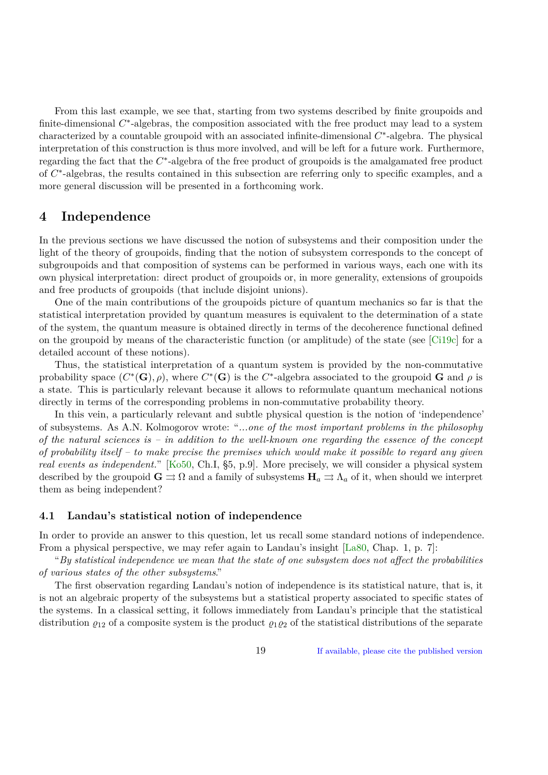From this last example, we see that, starting from two systems described by finite groupoids and finite-dimensional  $C^*$ -algebras, the composition associated with the free product may lead to a system characterized by a countable groupoid with an associated infinite-dimensional *C* ∗ -algebra. The physical interpretation of this construction is thus more involved, and will be left for a future work. Furthermore, regarding the fact that the *C* ∗ -algebra of the free product of groupoids is the amalgamated free product of  $C^*$ -algebras, the results contained in this subsection are referring only to specific examples, and a more general discussion will be presented in a forthcoming work.

### <span id="page-18-0"></span>**4 Independence**

In the previous sections we have discussed the notion of subsystems and their composition under the light of the theory of groupoids, finding that the notion of subsystem corresponds to the concept of subgroupoids and that composition of systems can be performed in various ways, each one with its own physical interpretation: direct product of groupoids or, in more generality, extensions of groupoids and free products of groupoids (that include disjoint unions).

One of the main contributions of the groupoids picture of quantum mechanics so far is that the statistical interpretation provided by quantum measures is equivalent to the determination of a state of the system, the quantum measure is obtained directly in terms of the decoherence functional defined on the groupoid by means of the characteristic function (or amplitude) of the state (see [\[Ci19c\]](#page-30-3) for a detailed account of these notions).

Thus, the statistical interpretation of a quantum system is provided by the non-commutative probability space  $(C^*(\mathbf{G}), \rho)$ , where  $C^*(\mathbf{G})$  is the  $C^*$ -algebra associated to the groupoid  $\mathbf{G}$  and  $\rho$  is a state. This is particularly relevant because it allows to reformulate quantum mechanical notions directly in terms of the corresponding problems in non-commutative probability theory.

In this vein, a particularly relevant and subtle physical question is the notion of 'independence' of subsystems. As A.N. Kolmogorov wrote: "*...one of the most important problems in the philosophy of the natural sciences is – in addition to the well-known one regarding the essence of the concept of probability itself – to make precise the premises which would make it possible to regard any given real events as independent.*" [\[Ko50,](#page-30-13) Ch.I, §5, p.9]. More precisely, we will consider a physical system described by the groupoid  $\mathbf{G} \rightrightarrows \Omega$  and a family of subsystems  $\mathbf{H}_a \rightrightarrows \Lambda_a$  of it, when should we interpret them as being independent?

#### <span id="page-18-1"></span>**4.1 Landau's statistical notion of independence**

In order to provide an answer to this question, let us recall some standard notions of independence. From a physical perspective, we may refer again to Landau's insight [\[La80,](#page-30-6) Chap. 1, p. 7]:

"*By statistical independence we mean that the state of one subsystem does not affect the probabilities of various states of the other subsystems*."

The first observation regarding Landau's notion of independence is its statistical nature, that is, it is not an algebraic property of the subsystems but a statistical property associated to specific states of the systems. In a classical setting, it follows immediately from Landau's principle that the statistical distribution  $\varrho_{12}$  of a composite system is the product  $\varrho_{12}$  of the statistical distributions of the separate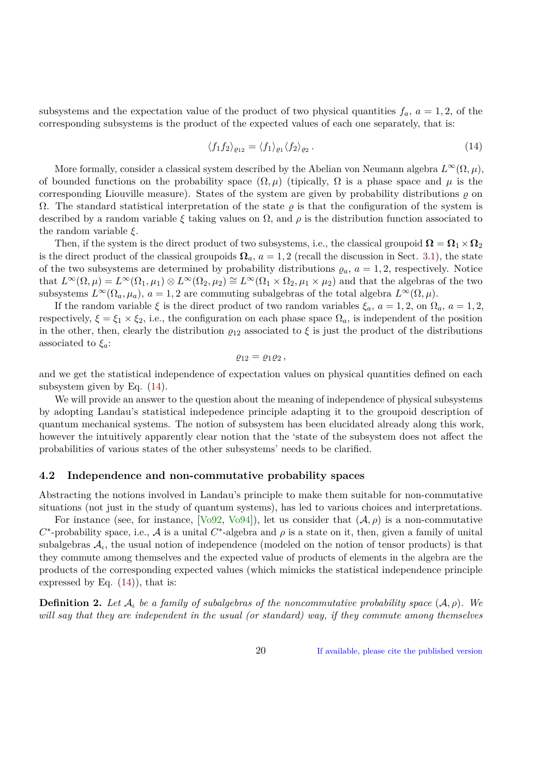subsystems and the expectation value of the product of two physical quantities  $f_a$ ,  $a = 1, 2$ , of the corresponding subsystems is the product of the expected values of each one separately, that is:

<span id="page-19-1"></span>
$$
\langle f_1 f_2 \rangle_{\varrho_{12}} = \langle f_1 \rangle_{\varrho_1} \langle f_2 \rangle_{\varrho_2} \,. \tag{14}
$$

More formally, consider a classical system described by the Abelian von Neumann algebra  $L^{\infty}(\Omega,\mu)$ , of bounded functions on the probability space  $(\Omega, \mu)$  (tipically,  $\Omega$  is a phase space and  $\mu$  is the corresponding Liouville measure). States of the system are given by probability distributions  $\rho$  on  $Ω$ . The standard statistical interpretation of the state *ρ* is that the configuration of the system is described by a random variable  $\xi$  taking values on  $\Omega$ , and  $\rho$  is the distribution function associated to the random variable *ξ*.

Then, if the system is the direct product of two subsystems, i.e., the classical groupoid  $\mathbf{\Omega} = \mathbf{\Omega}_1 \times \mathbf{\Omega}_2$ is the direct product of the classical groupoids  $\Omega_a$ ,  $a = 1, 2$  (recall the discussion in Sect. [3.1\)](#page-11-2), the state of the two subsystems are determined by probability distributions  $\varrho_a$ ,  $a = 1, 2$ , respectively. Notice that  $L^{\infty}(\Omega, \mu) = L^{\infty}(\Omega_1, \mu_1) \otimes L^{\infty}(\Omega_2, \mu_2) \cong L^{\infty}(\Omega_1 \times \Omega_2, \mu_1 \times \mu_2)$  and that the algebras of the two subsystems  $L^{\infty}(\Omega_a, \mu_a)$ ,  $a = 1, 2$  are commuting subalgebras of the total algebra  $L^{\infty}(\Omega, \mu)$ .

If the random variable  $\xi$  is the direct product of two random variables  $\xi_a$ ,  $a = 1, 2$ , on  $\Omega_a$ ,  $a = 1, 2$ , respectively,  $\xi = \xi_1 \times \xi_2$ , i.e., the configuration on each phase space  $\Omega_a$ , is independent of the position in the other, then, clearly the distribution  $\rho_{12}$  associated to  $\xi$  is just the product of the distributions associated to *ξa*:

$$
\varrho_{12}=\varrho_1\varrho_2\,,
$$

and we get the statistical independence of expectation values on physical quantities defined on each subsystem given by Eq. [\(14\)](#page-19-1).

We will provide an answer to the question about the meaning of independence of physical subsystems by adopting Landau's statistical indepedence principle adapting it to the groupoid description of quantum mechanical systems. The notion of subsystem has been elucidated already along this work, however the intuitively apparently clear notion that the 'state of the subsystem does not affect the probabilities of various states of the other subsystems' needs to be clarified.

#### <span id="page-19-0"></span>**4.2 Independence and non-commutative probability spaces**

Abstracting the notions involved in Landau's principle to make them suitable for non-commutative situations (not just in the study of quantum systems), has led to various choices and interpretations.

For instance (see, for instance,  $[\text{Vo92}, \text{Vo94}]$ ), let us consider that  $(\mathcal{A}, \rho)$  is a non-commutative  $C^*$ -probability space, i.e., A is a unital  $C^*$ -algebra and  $\rho$  is a state on it, then, given a family of unital subalgebras  $A_t$ , the usual notion of independence (modeled on the notion of tensor products) is that they commute among themselves and the expected value of products of elements in the algebra are the products of the corresponding expected values (which mimicks the statistical independence principle expressed by Eq.  $(14)$ , that is:

<span id="page-19-2"></span>**Definition 2.** Let  $A_i$  be a family of subalgebras of the noncommutative probability space  $(A, \rho)$ . We *will say that they are independent in the usual (or standard) way, if they commute among themselves*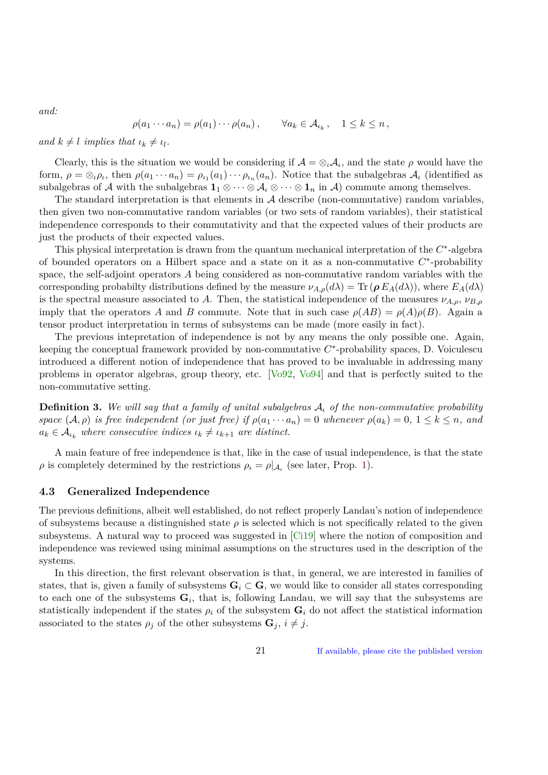*and:*

$$
\rho(a_1 \cdots a_n) = \rho(a_1) \cdots \rho(a_n), \qquad \forall a_k \in \mathcal{A}_{\iota_k}, \quad 1 \leq k \leq n,
$$

 $and \ k \neq l \ implies that \ \iota_k \neq \iota_l.$ 

Clearly, this is the situation we would be considering if  $A = \otimes_{\iota} A_{\iota}$ , and the state  $\rho$  would have the form,  $\rho = \otimes_{\iota} \rho_{\iota}$ , then  $\rho(a_1 \cdots a_n) = \rho_{\iota_1}(a_1) \cdots \rho_{\iota_n}(a_n)$ . Notice that the subalgebras  $\mathcal{A}_{\iota}$  (identified as subalgebras of A with the subalgebras  $\mathbf{1}_1 \otimes \cdots \otimes \mathbf{1}_n \otimes \cdots \otimes \mathbf{1}_n$  in A) commute among themselves.

The standard interpretation is that elements in  $A$  describe (non-commutative) random variables, then given two non-commutative random variables (or two sets of random variables), their statistical independence corresponds to their commutativity and that the expected values of their products are just the products of their expected values.

This physical interpretation is drawn from the quantum mechanical interpretation of the *C* ∗ -algebra of bounded operators on a Hilbert space and a state on it as a non-commutative  $C^*$ -probability space, the self-adjoint operators *A* being considered as non-commutative random variables with the corresponding probabilty distributions defined by the measure  $\nu_{A,\rho}(d\lambda) = \text{Tr}(\rho E_A(d\lambda))$ , where  $E_A(d\lambda)$ is the spectral measure associated to *A*. Then, the statistical independence of the measures  $\nu_{A,\rho}$ ,  $\nu_{B,\rho}$ imply that the operators *A* and *B* commute. Note that in such case  $\rho(AB) = \rho(A)\rho(B)$ . Again a tensor product interpretation in terms of subsystems can be made (more easily in fact).

The previous intepretation of independence is not by any means the only possible one. Again, keeping the conceptual framework provided by non-commutative *C* ∗ -probability spaces, D. Voiculescu introduced a different notion of independence that has proved to be invaluable in addressing many problems in operator algebras, group theory, etc. [\[Vo92,](#page-31-6) [Vo94\]](#page-31-7) and that is perfectly suited to the non-commutative setting.

**Definition 3.** *We will say that a family of unital subalgebras* A*<sup>ι</sup> of the non-commutative probability space*  $(A, \rho)$  *is free independent (or just free) if*  $\rho(a_1 \cdots a_n) = 0$  *whenever*  $\rho(a_k) = 0, 1 \leq k \leq n$ , and  $a_k \in \mathcal{A}_{\iota_k}$  *where consecutive indices*  $\iota_k \neq \iota_{k+1}$  *are distinct.* 

A main feature of free independence is that, like in the case of usual independence, is that the state *ρ* is completely determined by the restrictions  $\rho_{\iota} = \rho | A_{\iota}$  (see later, Prop. [1\)](#page-22-0).

#### <span id="page-20-0"></span>**4.3 Generalized Independence**

The previous definitions, albeit well established, do not reflect properly Landau's notion of independence of subsystems because a distinguished state  $\rho$  is selected which is not specifically related to the given subsystems. A natural way to proceed was suggested in [\[Ci19\]](#page-30-7) where the notion of composition and independence was reviewed using minimal assumptions on the structures used in the description of the systems.

In this direction, the first relevant observation is that, in general, we are interested in families of states, that is, given a family of subsystems  $G_i \subset G$ , we would like to consider all states corresponding to each one of the subsystems  $\mathbf{G}_i$ , that is, following Landau, we will say that the subsystems are statistically independent if the states  $\rho_i$  of the subsystem  $\mathbf{G}_i$  do not affect the statistical information associated to the states  $\rho_j$  of the other subsystems  $\mathbf{G}_j$ ,  $i \neq j$ .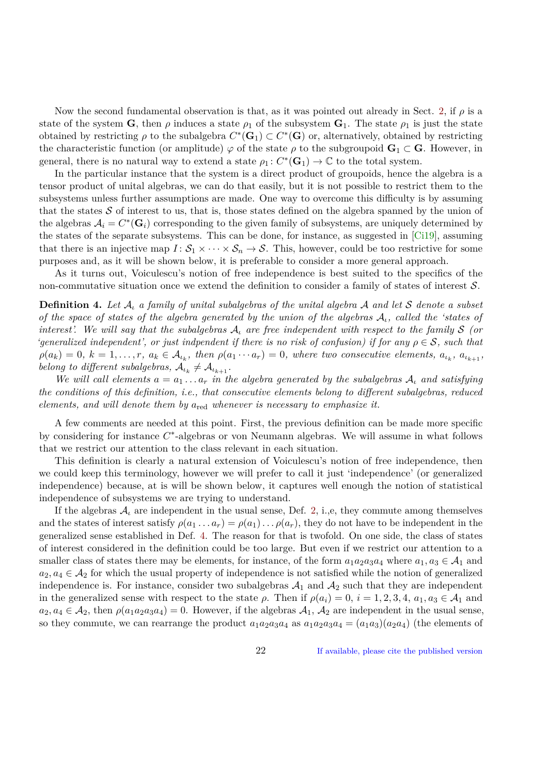Now the second fundamental observation is that, as it was pointed out already in Sect. [2,](#page-6-0) if *ρ* is a state of the system **G**, then  $\rho$  induces a state  $\rho_1$  of the subsystem **G**<sub>1</sub>. The state  $\rho_1$  is just the state obtained by restricting  $\rho$  to the subalgebra  $C^*(\mathbf{G}_1) \subset C^*(\mathbf{G})$  or, alternatively, obtained by restricting the characteristic function (or amplitude)  $\varphi$  of the state  $\rho$  to the subgroupoid  $\mathbf{G}_1 \subset \mathbf{G}$ . However, in general, there is no natural way to extend a state  $\rho_1: C^*(\mathbf{G}_1) \to \mathbb{C}$  to the total system.

In the particular instance that the system is a direct product of groupoids, hence the algebra is a tensor product of unital algebras, we can do that easily, but it is not possible to restrict them to the subsystems unless further assumptions are made. One way to overcome this difficulty is by assuming that the states  $\mathcal S$  of interest to us, that is, those states defined on the algebra spanned by the union of the algebras  $A_i = C^*(\mathbf{G}_i)$  corresponding to the given family of subsystems, are uniquely determined by the states of the separate subsystems. This can be done, for instance, as suggested in [\[Ci19\]](#page-30-7), assuming that there is an injective map  $I: \mathcal{S}_1 \times \cdots \times \mathcal{S}_n \to \mathcal{S}$ . This, however, could be too restrictive for some purposes and, as it will be shown below, it is preferable to consider a more general approach.

As it turns out, Voiculescu's notion of free independence is best suited to the specifics of the non-commutative situation once we extend the definition to consider a family of states of interest S.

<span id="page-21-0"></span>**Definition 4.** *Let* A*<sup>ι</sup> a family of unital subalgebras of the unital algebra* A *and let* S *denote a subset of the space of states of the algebra generated by the union of the algebras* A*ι, called the 'states of interest'. We will say that the subalgebras* A*<sup>ι</sup> are free independent with respect to the family* S *(or 'generalized independent', or just indpendent if there is no risk of confusion) if for any*  $\rho \in \mathcal{S}$ *, such that*  $\rho(a_k) = 0, k = 1, \ldots, r, a_k \in A_{\iota_k}, \text{ then } \rho(a_1 \cdots a_r) = 0, \text{ where two consecutive elements, } a_{\iota_k}, a_{\iota_{k+1}},$ *belong to different subalgebras,*  $A_{\iota_k} \neq A_{\iota_{k+1}}$ .

*We will call elements*  $a = a_1 \ldots a_r$  *in the algebra generated by the subalgebras*  $A_t$  *and satisfying the conditions of this definition, i.e., that consecutive elements belong to different subalgebras, reduced elements, and will denote them by a*red *whenever is necessary to emphasize it.*

A few comments are needed at this point. First, the previous definition can be made more specific by considering for instance  $C^*$ -algebras or von Neumann algebras. We will assume in what follows that we restrict our attention to the class relevant in each situation.

This definition is clearly a natural extension of Voiculescu's notion of free independence, then we could keep this terminology, however we will prefer to call it just 'independence' (or generalized independence) because, at is will be shown below, it captures well enough the notion of statistical independence of subsystems we are trying to understand.

If the algebras  $A_{\iota}$  are independent in the usual sense, Def. [2,](#page-19-2) i.,e, they commute among themselves and the states of interest satisfy  $\rho(a_1 \ldots a_r) = \rho(a_1) \ldots \rho(a_r)$ , they do not have to be independent in the generalized sense established in Def. [4.](#page-21-0) The reason for that is twofold. On one side, the class of states of interest considered in the definition could be too large. But even if we restrict our attention to a smaller class of states there may be elements, for instance, of the form  $a_1a_2a_3a_4$  where  $a_1, a_3 \in \mathcal{A}_1$  and  $a_2, a_4 \in A_2$  for which the usual property of independence is not satisfied while the notion of generalized independence is. For instance, consider two subalgebras  $A_1$  and  $A_2$  such that they are independent in the generalized sense with respect to the state  $\rho$ . Then if  $\rho(a_i) = 0$ ,  $i = 1, 2, 3, 4, a_1, a_3 \in A_1$  and  $a_2, a_4 \in A_2$ , then  $\rho(a_1a_2a_3a_4) = 0$ . However, if the algebras  $A_1, A_2$  are independent in the usual sense, so they commute, we can rearrange the product  $a_1a_2a_3a_4$  as  $a_1a_2a_3a_4 = (a_1a_3)(a_2a_4)$  (the elements of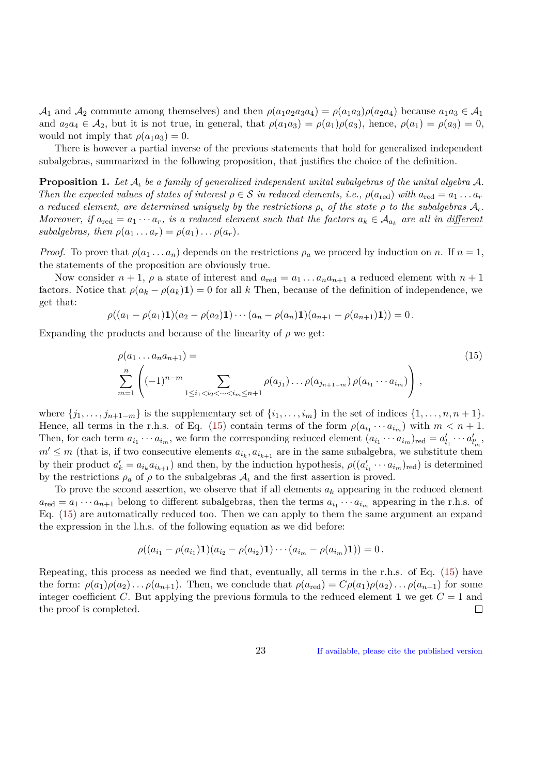$\mathcal{A}_1$  and  $\mathcal{A}_2$  commute among themselves) and then  $\rho(a_1a_2a_3a_4) = \rho(a_1a_3)\rho(a_2a_4)$  because  $a_1a_3 \in \mathcal{A}_1$ and  $a_2a_4 \in \mathcal{A}_2$ , but it is not true, in general, that  $\rho(a_1a_3) = \rho(a_1)\rho(a_3)$ , hence,  $\rho(a_1) = \rho(a_3) = 0$ , would not imply that  $\rho(a_1a_3) = 0$ .

There is however a partial inverse of the previous statements that hold for generalized independent subalgebras, summarized in the following proposition, that justifies the choice of the definition.

<span id="page-22-0"></span>**Proposition 1.** *Let* A*<sup>ι</sup> be a family of generalized independent unital subalgebras of the unital algebra* A*. Then the expected values of states of interest*  $\rho \in S$  *in reduced elements, i.e.,*  $\rho(a_{\text{red}})$  *with*  $a_{\text{red}} = a_1 \dots a_r$ *a reduced element, are determined uniquely by the restrictions*  $\rho$ *<sub><i>l*</sub></sub> of the state  $\rho$  to the subalgebras  $A$ <sup>*l*</sup>*. Moreover, if*  $a_{\text{red}} = a_1 \cdots a_r$ , *is a reduced element such that the factors*  $a_k \in A_{a_k}$  *are all in different subalgebras, then*  $\rho(a_1 \ldots a_r) = \rho(a_1) \ldots \rho(a_r)$ *.* 

*Proof.* To prove that  $\rho(a_1 \ldots a_n)$  depends on the restrictions  $\rho_a$  we proceed by induction on *n*. If  $n = 1$ , the statements of the proposition are obviously true.

Now consider  $n+1$ ,  $\rho$  a state of interest and  $a_{\text{red}} = a_1 \ldots a_n a_{n+1}$  a reduced element with  $n+1$ factors. Notice that  $\rho(a_k - \rho(a_k)\mathbf{1}) = 0$  for all *k* Then, because of the definition of independence, we get that:

$$
\rho((a_1-\rho(a_1)\mathbf{1})(a_2-\rho(a_2)\mathbf{1})\cdots(a_n-\rho(a_n)\mathbf{1})(a_{n+1}-\rho(a_{n+1})\mathbf{1}))=0.
$$

Expanding the products and because of the linearity of  $\rho$  we get:

<span id="page-22-1"></span>
$$
\rho(a_1 \dots a_n a_{n+1}) = \sum_{m=1}^n \left( (-1)^{n-m} \sum_{1 \le i_1 < i_2 < \dots < i_m \le n+1} \rho(a_{j_1}) \dots \rho(a_{j_{n+1-m}}) \rho(a_{i_1} \dots a_{i_m}) \right),
$$
\n(15)

where  $\{j_1, \ldots, j_{n+1-m}\}$  is the supplementary set of  $\{i_1, \ldots, i_m\}$  in the set of indices  $\{1, \ldots, n, n+1\}$ . Hence, all terms in the r.h.s. of Eq. [\(15\)](#page-22-1) contain terms of the form  $\rho(a_{i_1} \cdots a_{i_m})$  with  $m < n+1$ . Then, for each term  $a_{i_1}\cdots a_{i_m}$ , we form the corresponding reduced element  $(a_{i_1}\cdots a_{i_m})_{\text{red}}=a'_{l_1}\cdots a'_{l'_m}$  $m' \leq m$  (that is, if two consecutive elements  $a_{i_k}, a_{i_{k+1}}$  are in the same subalgebra, we substitute them by their product  $a'_k = a_{i_k} a_{i_{k+1}}$  and then, by the induction hypothesis,  $\rho((a'_{i_1} \cdots a_{i_m})_{\text{red}})$  is determined by the restrictions  $\rho_a$  of  $\rho$  to the subalgebras  $A_t$  and the first assertion is proved.

To prove the second assertion, we observe that if all elements *a<sup>k</sup>* appearing in the reduced element  $a_{\text{red}} = a_1 \cdots a_{n+1}$  belong to different subalgebras, then the terms  $a_{i_1} \cdots a_{i_m}$  appearing in the r.h.s. of Eq. [\(15\)](#page-22-1) are automatically reduced too. Then we can apply to them the same argument an expand the expression in the l.h.s. of the following equation as we did before:

$$
\rho((a_{i_1}-\rho(a_{i_1})\mathbf{1})(a_{i_2}-\rho(a_{i_2})\mathbf{1})\cdots(a_{i_m}-\rho(a_{i_m})\mathbf{1}))=0.
$$

Repeating, this process as needed we find that, eventually, all terms in the r.h.s. of Eq. [\(15\)](#page-22-1) have the form:  $\rho(a_1)\rho(a_2)\ldots\rho(a_{n+1})$ . Then, we conclude that  $\rho(a_{\text{red}}) = C\rho(a_1)\rho(a_2)\ldots\rho(a_{n+1})$  for some integer coefficient *C*. But applying the previous formula to the reduced element **1** we get  $C = 1$  and the proof is completed.  $\Box$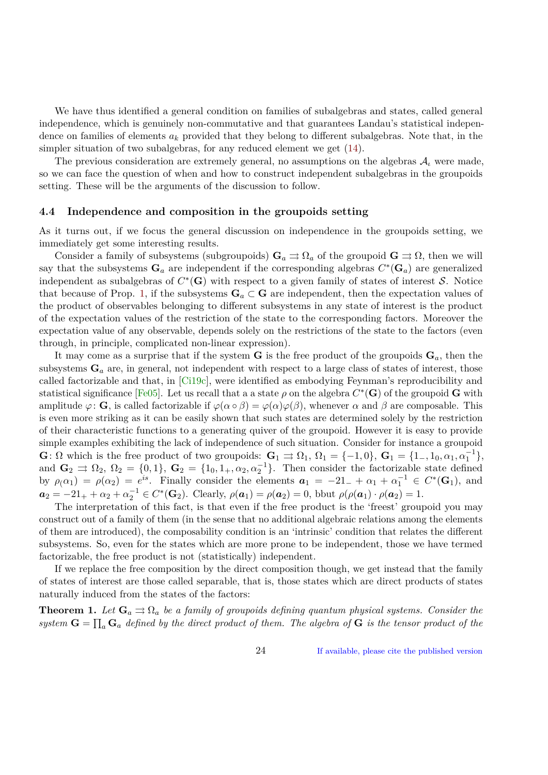We have thus identified a general condition on families of subalgebras and states, called general independence, which is genuinely non-commutative and that guarantees Landau's statistical independence on families of elements *a<sup>k</sup>* provided that they belong to different subalgebras. Note that, in the simpler situation of two subalgebras, for any reduced element we get [\(14\)](#page-19-1).

The previous consideration are extremely general, no assumptions on the algebras A*<sup>ι</sup>* were made, so we can face the question of when and how to construct independent subalgebras in the groupoids setting. These will be the arguments of the discussion to follow.

#### <span id="page-23-0"></span>**4.4 Independence and composition in the groupoids setting**

As it turns out, if we focus the general discussion on independence in the groupoids setting, we immediately get some interesting results.

Consider a family of subsystems (subgroupoids)  $\mathbf{G}_a \rightrightarrows \Omega_a$  of the groupoid  $\mathbf{G} \rightrightarrows \Omega$ , then we will say that the subsystems  $\mathbf{G}_a$  are independent if the corresponding algebras  $C^*(\mathbf{G}_a)$  are generalized independent as subalgebras of  $C^*(\mathbf{G})$  with respect to a given family of states of interest S. Notice that because of Prop. [1,](#page-22-0) if the subsystems  $G_a \subset G$  are independent, then the expectation values of the product of observables belonging to different subsystems in any state of interest is the product of the expectation values of the restriction of the state to the corresponding factors. Moreover the expectation value of any observable, depends solely on the restrictions of the state to the factors (even through, in principle, complicated non-linear expression).

It may come as a surprise that if the system **G** is the free product of the groupoids  $\mathbf{G}_a$ , then the subsystems  $\mathbf{G}_a$  are, in general, not independent with respect to a large class of states of interest, those called factorizable and that, in [\[Ci19c\]](#page-30-3), were identified as embodying Feynman's reproducibility and statistical significance [\[Fe05\]](#page-30-9). Let us recall that a a state  $\rho$  on the algebra  $C^*(\mathbf{G})$  of the groupoid  $\mathbf{G}$  with amplitude  $\varphi: \mathbf{G}$ , is called factorizable if  $\varphi(\alpha \circ \beta) = \varphi(\alpha) \varphi(\beta)$ , whenever  $\alpha$  and  $\beta$  are composable. This is even more striking as it can be easily shown that such states are determined solely by the restriction of their characteristic functions to a generating quiver of the groupoid. However it is easy to provide simple examples exhibiting the lack of independence of such situation. Consider for instance a groupoid **G**:  $\Omega$  which is the free product of two groupoids:  $\mathbf{G}_1 \rightrightarrows \Omega_1$ ,  $\Omega_1 = \{-1,0\}$ ,  $\mathbf{G}_1 = \{1_-, 1_0, \alpha_1, \alpha_1^{-1}\}$ , and  $\mathbf{G}_2 \Rightarrow \Omega_2, \Omega_2 = \{0, 1\}, \mathbf{G}_2 = \{1_0, 1_+, \alpha_2, \alpha_2^{-1}\}.$  Then consider the factorizable state defined by  $\rho(\alpha_1) = \rho(\alpha_2) = e^{is}$ . Finally consider the elements  $a_1 = -21 - a_1 + a_1^{-1} \in C^*(\mathbb{G}_1)$ , and  $a_2 = -21_+ + \alpha_2 + \alpha_2^{-1} \in C^*(\mathbf{G}_2)$ . Clearly,  $\rho(\mathbf{a}_1) = \rho(\mathbf{a}_2) = 0$ , bbut  $\rho(\rho(\mathbf{a}_1) \cdot \rho(\mathbf{a}_2) = 1$ .

The interpretation of this fact, is that even if the free product is the 'freest' groupoid you may construct out of a family of them (in the sense that no additional algebraic relations among the elements of them are introduced), the composability condition is an 'intrinsic' condition that relates the different subsystems. So, even for the states which are more prone to be independent, those we have termed factorizable, the free product is not (statistically) independent.

If we replace the free composition by the direct composition though, we get instead that the family of states of interest are those called separable, that is, those states which are direct products of states naturally induced from the states of the factors:

**Theorem 1.** Let  $\mathbf{G}_a \rightrightarrows \Omega_a$  be a family of groupoids defining quantum physical systems. Consider the *system*  $G = \prod_a G_a$  *defined by the direct product of them. The algebra of*  $G$  *is the tensor product of the*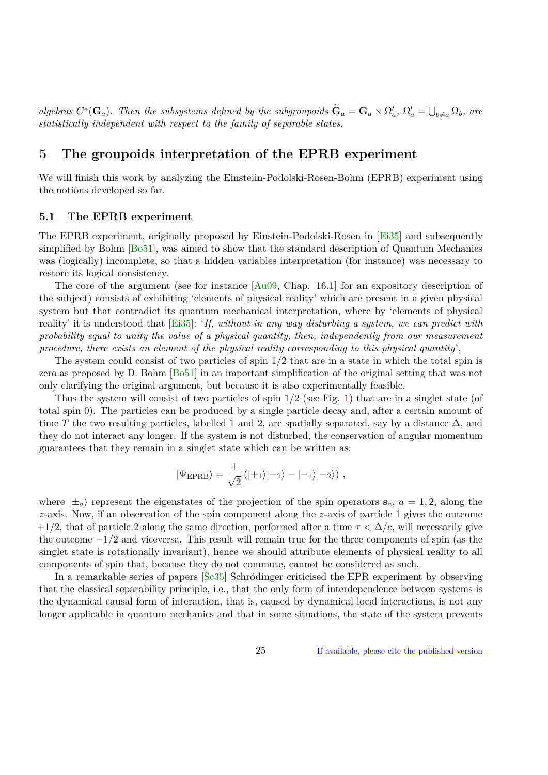*algebras*  $C^*(\mathbf{G}_a)$ . Then the subsystems defined by the subgroupoids  $\widetilde{\mathbf{G}}_a = \mathbf{G}_a \times \Omega'_a$ ,  $\Omega'_a = \bigcup_{b \neq a} \Omega_b$ , are *statistically independent with respect to the family of separable states.*

### <span id="page-24-0"></span>**5 The groupoids interpretation of the EPRB experiment**

We will finish this work by analyzing the Einsteiin-Podolski-Rosen-Bohm (EPRB) experiment using the notions developed so far.

#### <span id="page-24-1"></span>**5.1 The EPRB experiment**

The EPRB experiment, originally proposed by Einstein-Podolski-Rosen in [\[Ei35\]](#page-30-4) and subsequently simplified by Bohm [\[Bo51\]](#page-30-14), was aimed to show that the standard description of Quantum Mechanics was (logically) incomplete, so that a hidden variables interpretation (for instance) was necessary to restore its logical consistency.

The core of the argument (see for instance [\[Au09,](#page-30-15) Chap. 16.1] for an expository description of the subject) consists of exhibiting 'elements of physical reality' which are present in a given physical system but that contradict its quantum mechanical interpretation, where by 'elements of physical reality' it is understood that [\[Ei35\]](#page-30-4): '*If, without in any way disturbing a system, we can predict with probability equal to unity the value of a physical quantity, then, independently from our measurement procedure, there exists an element of the physical reality corresponding to this physical quantity*',

The system could consist of two particles of spin 1/2 that are in a state in which the total spin is zero as proposed by D. Bohm [\[Bo51\]](#page-30-14) in an important simplification of the original setting that was not only clarifying the original argument, but because it is also experimentally feasible.

Thus the system will consist of two particles of spin  $1/2$  (see Fig. [1\)](#page-25-1) that are in a singlet state (of total spin 0). The particles can be produced by a single particle decay and, after a certain amount of time *T* the two resulting particles, labelled 1 and 2, are spatially separated, say by a distance  $\Delta$ , and they do not interact any longer. If the system is not disturbed, the conservation of angular momentum guarantees that they remain in a singlet state which can be written as:

$$
|\Psi_{\text{EPRB}}\rangle = \frac{1}{\sqrt{2}} (|+1\rangle|-2\rangle - |-1\rangle|+2\rangle),
$$

where  $|\pm_a\rangle$  represent the eigenstates of the projection of the spin operators  $\mathbf{s}_a$ ,  $a = 1, 2$ , along the *z*-axis. Now, if an observation of the spin component along the *z*-axis of particle 1 gives the outcome  $+1/2$ , that of particle 2 along the same direction, performed after a time  $\tau < \Delta/c$ , will necessarily give the outcome −1*/*2 and viceversa. This result will remain true for the three components of spin (as the singlet state is rotationally invariant), hence we should attribute elements of physical reality to all components of spin that, because they do not commute, cannot be considered as such.

In a remarkable series of papers [\[Sc35\]](#page-31-13) Schrödinger criticised the EPR experiment by observing that the classical separability principle, i.e., that the only form of interdependence between systems is the dynamical causal form of interaction, that is, caused by dynamical local interactions, is not any longer applicable in quantum mechanics and that in some situations, the state of the system prevents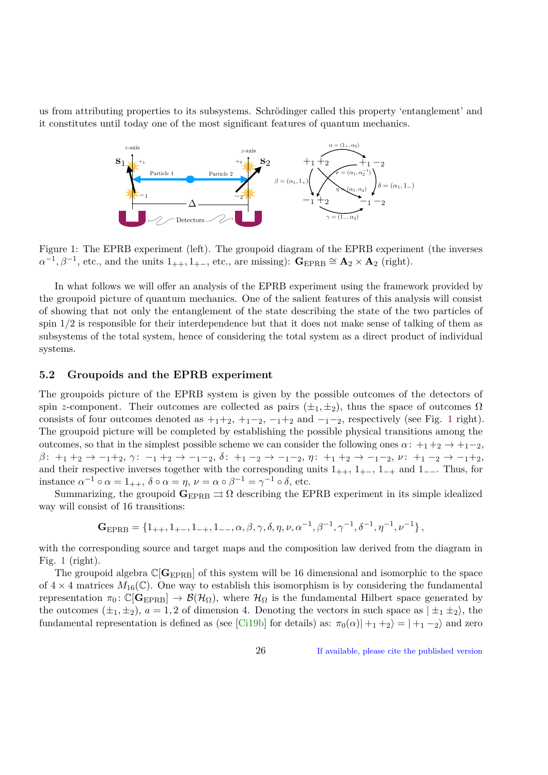<span id="page-25-1"></span>us from attributing properties to its subsystems. Schrödinger called this property 'entanglement' and it constitutes until today one of the most significant features of quantum mechanics.



Figure 1: The EPRB experiment (left). The groupoid diagram of the EPRB experiment (the inverses  $\alpha^{-1}, \beta^{-1}$ , etc., and the units 1<sub>++</sub>, 1<sub>+−</sub>, etc., are missing):  $\mathbf{G}_{\text{EPRB}} \cong \mathbf{A}_2 \times \mathbf{A}_2$  (right).

In what follows we will offer an analysis of the EPRB experiment using the framework provided by the groupoid picture of quantum mechanics. One of the salient features of this analysis will consist of showing that not only the entanglement of the state describing the state of the two particles of spin 1/2 is responsible for their interdependence but that it does not make sense of talking of them as subsystems of the total system, hence of considering the total system as a direct product of individual systems.

### <span id="page-25-0"></span>**5.2 Groupoids and the EPRB experiment**

The groupoids picture of the EPRB system is given by the possible outcomes of the detectors of spin *z*-component. Their outcomes are collected as pairs  $(\pm_1, \pm_2)$ , thus the space of outcomes  $\Omega$ consists of four outcomes denoted as  $+1+2$  $+1+2$  $+1+2$ ,  $+1-2$ ,  $-1+2$  and  $-1-2$ , respectively (see Fig. 1 right). The groupoid picture will be completed by establishing the possible physical transitions among the outcomes, so that in the simplest possible scheme we can consider the following ones  $\alpha: +_1 +_2 \rightarrow +_1 -_2$ , *β* : +<sup>1</sup> +<sup>2</sup> → −1+2, *γ* : −<sup>1</sup> +<sup>2</sup> → −1−2, *δ* : +<sup>1</sup> −<sup>2</sup> → −1−2, *η* : +<sup>1</sup> +<sup>2</sup> → −1−2, *ν* : +<sup>1</sup> −<sup>2</sup> → −1+2, and their respective inverses together with the corresponding units  $1_{++}$ ,  $1_{+-}$ ,  $1_{-+}$  and  $1_{--}$ . Thus, for instance  $\alpha^{-1} \circ \alpha = 1_{++}$ ,  $\delta \circ \alpha = \eta$ ,  $\nu = \alpha \circ \beta^{-1} = \gamma^{-1} \circ \delta$ , etc.

Summarizing, the groupoid  $\mathbf{G}_{\text{EPRB}} \rightrightarrows \Omega$  describing the EPRB experiment in its simple idealized way will consist of 16 transitions:

$$
\mathbf{G}_{\text{EPRB}} = \{1_{++}, 1_{+-}, 1_{-+}, 1_{--}, \alpha, \beta, \gamma, \delta, \eta, \nu, \alpha^{-1}, \beta^{-1}, \gamma^{-1}, \delta^{-1}, \eta^{-1}, \nu^{-1}\},
$$

with the corresponding source and target maps and the composition law derived from the diagram in Fig. [1](#page-25-1) (right).

The groupoid algebra  $\mathbb{C}[G_{\rm EPRB}]$  of this system will be 16 dimensional and isomorphic to the space of  $4 \times 4$  matrices  $M_{16}(\mathbb{C})$ . One way to establish this isomorphism is by considering the fundamental representation  $\pi_0$ :  $\mathbb{C}[G_{\text{EPRB}}] \to \mathcal{B}(\mathcal{H}_{\Omega})$ , where  $\mathcal{H}_{\Omega}$  is the fundamental Hilbert space generated by the outcomes  $(\pm_1, \pm_2)$ ,  $a = 1, 2$  of dimension 4. Denoting the vectors in such space as  $|\pm_1 \pm_2\rangle$ , the fundamental representation is defined as (see [\[Ci19b\]](#page-30-2) for details) as:  $\pi_0(\alpha)$ | +1 +2 $\rangle = |+1-2\rangle$  and zero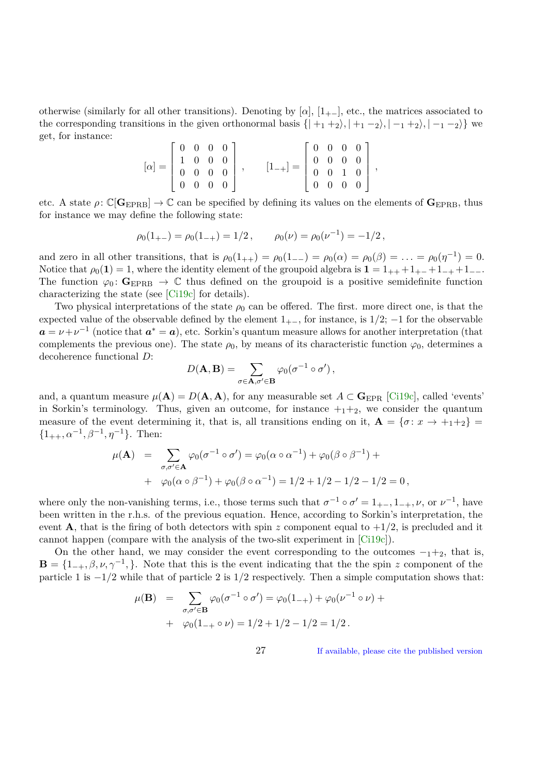otherwise (similarly for all other transitions). Denoting by  $[\alpha]$ ,  $[1_{+-}]$ , etc., the matrices associated to the corresponding transitions in the given orthonormal basis  $\{ |+1+2\rangle, |+1-2\rangle, |-1+2\rangle, |-1-2\rangle \}$  we get, for instance:

|                                                                                              |                          | $\begin{bmatrix} 0 & 0 & 0 & 0 \end{bmatrix}$ |                                                                                                            |  |                                               |  |
|----------------------------------------------------------------------------------------------|--------------------------|-----------------------------------------------|------------------------------------------------------------------------------------------------------------|--|-----------------------------------------------|--|
|                                                                                              |                          |                                               | $[1_{-+}]=\left[\begin{array}{cccc} 0 & 0 & 0 & 0 \\ 0 & 0 & 0 & 0 \\ 0 & 0 & 1 & 0 \end{array}\right]\,,$ |  |                                               |  |
| $[\alpha] = \left[ \begin{array}{cccc} 1 & 0 & 0 & 0 \\ 0 & 0 & 0 & 0 \end{array} \right] ,$ |                          |                                               |                                                                                                            |  |                                               |  |
|                                                                                              | $0\quad 0\quad 0\quad 0$ |                                               |                                                                                                            |  | $\begin{bmatrix} 0 & 0 & 0 & 0 \end{bmatrix}$ |  |

etc. A state  $\rho: \mathbb{C}[\mathbf{G}_{\text{EPRB}}] \to \mathbb{C}$  can be specified by defining its values on the elements of  $\mathbf{G}_{\text{EPRB}}$ , thus for instance we may define the following state:

$$
\rho_0(1_{+-}) = \rho_0(1_{-+}) = 1/2, \qquad \rho_0(\nu) = \rho_0(\nu^{-1}) = -1/2,
$$

and zero in all other transitions, that is  $\rho_0(1_{++}) = \rho_0(1_{--}) = \rho_0(\alpha) = \rho_0(\beta) = \ldots = \rho_0(\eta^{-1}) = 0$ . Notice that  $\rho_0(1) = 1$ , where the identity element of the groupoid algebra is  $1 = 1_{++} + 1_{+-} + 1_{-+} + 1_{--}$ . The function  $\varphi_0: \mathbf{G}_{\text{EPRB}} \to \mathbb{C}$  thus defined on the groupoid is a positive semidefinite function characterizing the state (see [\[Ci19c\]](#page-30-3) for details).

Two physical interpretations of the state  $\rho_0$  can be offered. The first. more direct one, is that the expected value of the observable defined by the element  $1_{+-}$ , for instance, is  $1/2$ ;  $-1$  for the observable  $a = \nu + \nu^{-1}$  (notice that  $a^* = a$ ), etc. Sorkin's quantum measure allows for another interpretation (that complements the previous one). The state  $\rho_0$ , by means of its characteristic function  $\varphi_0$ , determines a decoherence functional *D*:

$$
D(\mathbf{A}, \mathbf{B}) = \sum_{\sigma \in \mathbf{A}, \sigma' \in \mathbf{B}} \varphi_0(\sigma^{-1} \circ \sigma'),
$$

and, a quantum measure  $\mu(A) = D(A, A)$ , for any measurable set  $A \subset \mathbf{G}_{EPR}$  [\[Ci19c\]](#page-30-3), called 'events' in Sorkin's terminology. Thus, given an outcome, for instance  $+1+2$ , we consider the quantum measure of the event determining it, that is, all transitions ending on it,  $\mathbf{A} = \{ \sigma : x \to +_1 +_2 \}$  $\{1_{++}, \alpha^{-1}, \beta^{-1}, \eta^{-1}\}.$  Then:

$$
\mu(\mathbf{A}) = \sum_{\sigma,\sigma' \in \mathbf{A}} \varphi_0(\sigma^{-1} \circ \sigma') = \varphi_0(\alpha \circ \alpha^{-1}) + \varphi_0(\beta \circ \beta^{-1}) + + \varphi_0(\alpha \circ \beta^{-1}) + \varphi_0(\beta \circ \alpha^{-1}) = 1/2 + 1/2 - 1/2 - 1/2 = 0,
$$

where only the non-vanishing terms, i.e., those terms such that  $\sigma^{-1} \circ \sigma' = 1_{+-}, 1_{-+}, \nu$ , or  $\nu^{-1}$ , have been written in the r.h.s. of the previous equation. Hence, according to Sorkin's interpretation, the event **A**, that is the firing of both detectors with spin *z* component equal to  $+1/2$ , is precluded and it cannot happen (compare with the analysis of the two-slit experiment in [\[Ci19c\]](#page-30-3)).

On the other hand, we may consider the event corresponding to the outcomes  $-1+2$ , that is,  $\mathbf{B} = \{1_{-+}, \beta, \nu, \gamma^{-1}, \}$ . Note that this is the event indicating that the the spin *z* component of the particle 1 is −1*/*2 while that of particle 2 is 1*/*2 respectively. Then a simple computation shows that:

$$
\mu(\mathbf{B}) = \sum_{\sigma,\sigma' \in \mathbf{B}} \varphi_0(\sigma^{-1} \circ \sigma') = \varphi_0(1_{-+}) + \varphi_0(\nu^{-1} \circ \nu) + \n+ \varphi_0(1_{-+} \circ \nu) = 1/2 + 1/2 - 1/2 = 1/2.
$$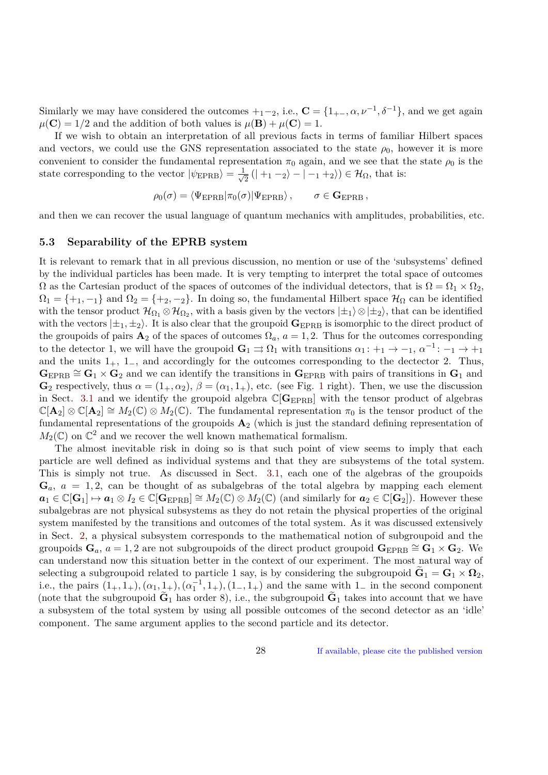Similarly we may have considered the outcomes  $+<sub>1</sub> -<sub>2</sub>$ , i.e.,  $\mathbf{C} = \{1_{+-}, \alpha, \nu^{-1}, \delta^{-1}\}$ , and we get again  $\mu(\mathbf{C}) = 1/2$  and the addition of both values is  $\mu(\mathbf{B}) + \mu(\mathbf{C}) = 1$ .

If we wish to obtain an interpretation of all previous facts in terms of familiar Hilbert spaces and vectors, we could use the GNS representation associated to the state  $\rho_0$ , however it is more convenient to consider the fundamental representation  $\pi_0$  again, and we see that the state  $\rho_0$  is the state corresponding to the vector  $|\psi_{\text{EPRB}}\rangle = \frac{1}{\sqrt{2}}$  $\frac{1}{2}(|+_1-_2\rangle-|-_1+_2\rangle)\in\mathcal{H}_{\Omega}$ , that is:

$$
\rho_0(\sigma) = \langle \Psi_{\rm EPRB} | \pi_0(\sigma) | \Psi_{\rm EPRB} \rangle, \qquad \sigma \in \mathbf{G}_{\rm EPRB},
$$

and then we can recover the usual language of quantum mechanics with amplitudes, probabilities, etc.

#### <span id="page-27-0"></span>**5.3 Separability of the EPRB system**

It is relevant to remark that in all previous discussion, no mention or use of the 'subsystems' defined by the individual particles has been made. It is very tempting to interpret the total space of outcomes  $\Omega$  as the Cartesian product of the spaces of outcomes of the individual detectors, that is  $\Omega = \Omega_1 \times \Omega_2$ ,  $\Omega_1 = \{+1, -1\}$  and  $\Omega_2 = \{+2, -2\}$ . In doing so, the fundamental Hilbert space  $\mathcal{H}_{\Omega}$  can be identified with the tensor product  $\mathcal{H}_{\Omega_1} \otimes \mathcal{H}_{\Omega_2}$ , with a basis given by the vectors  $|\pm_1\rangle \otimes |\pm_2\rangle$ , that can be identified with the vectors  $|\pm_1,\pm_2\rangle$ . It is also clear that the groupoid  $\mathbf{G}_{\text{EPRB}}$  is isomorphic to the direct product of the groupoids of pairs  $\mathbf{A}_2$  of the spaces of outcomes  $\Omega_a$ ,  $a = 1, 2$ . Thus for the outcomes corresponding to the detector 1, we will have the groupoid  $\mathbf{G}_1 \rightrightarrows \Omega_1$  with transitions  $\alpha_1: +_1 \to -_1, \alpha^{-1}: -_1 \to +_1$ and the units  $1_+$ ,  $1_-$ , and accordingly for the outcomes corresponding to the dectector 2. Thus,  $\mathbf{G}_{\text{EPRB}} \cong \mathbf{G}_1 \times \mathbf{G}_2$  and we can identify the transitions in  $\mathbf{G}_{\text{EPRB}}$  with pairs of transitions in  $\mathbf{G}_1$  and  $\mathbf{G}_2$  respectively, thus  $\alpha = (1_+, \alpha_2), \ \beta = (\alpha_1, 1_+),$  $\alpha = (1_+, \alpha_2), \ \beta = (\alpha_1, 1_+),$  $\alpha = (1_+, \alpha_2), \ \beta = (\alpha_1, 1_+),$  etc. (see Fig. 1 right). Then, we use the discussion in Sect. [3.1](#page-11-2) and we identify the groupoid algebra  $\mathbb{C}[G_{\rm EPRB}]$  with the tensor product of algebras  $\mathbb{C}[\mathbf{A}_2] \otimes \mathbb{C}[\mathbf{A}_2] \cong M_2(\mathbb{C}) \otimes M_2(\mathbb{C})$ . The fundamental representation  $\pi_0$  is the tensor product of the fundamental representations of the groupoids **A**<sup>2</sup> (which is just the standard defining representation of  $M_2(\mathbb{C})$  on  $\mathbb{C}^2$  and we recover the well known mathematical formalism.

The almost inevitable risk in doing so is that such point of view seems to imply that each particle are well defined as individual systems and that they are subsystems of the total system. This is simply not true. As discussed in Sect. [3.1,](#page-11-2) each one of the algebras of the groupoids  $\mathbf{G}_a$ ,  $a = 1, 2$ , can be thought of as subalgebras of the total algebra by mapping each element  $a_1 \in \mathbb{C}[G_1] \mapsto a_1 \otimes I_2 \in \mathbb{C}[G_{\text{EPRB}}] \cong M_2(\mathbb{C}) \otimes M_2(\mathbb{C})$  (and similarly for  $a_2 \in \mathbb{C}[G_2]$ ). However these subalgebras are not physical subsystems as they do not retain the physical properties of the original system manifested by the transitions and outcomes of the total system. As it was discussed extensively in Sect. [2,](#page-6-0) a physical subsystem corresponds to the mathematical notion of subgroupoid and the groupoids  $\mathbf{G}_a$ ,  $a = 1, 2$  are not subgroupoids of the direct product groupoid  $\mathbf{G}_{\text{EPRB}} \cong \mathbf{G}_1 \times \mathbf{G}_2$ . We can understand now this situation better in the context of our experiment. The most natural way of selecting a subgroupoid related to particle 1 say, is by considering the subgroupoid  $G_1 = G_1 \times \Omega_2$ , i.e., the pairs  $(1_+, 1_+), (\alpha_1, 1_+), (\alpha_1^{-1}, 1_+), (1_-, 1_+)$  and the same with  $1_-$  in the second component (note that the subgroupoid  $\mathbf{G}_1$  has order 8), i.e., the subgroupoid  $\mathbf{G}_1$  takes into account that we have a subsystem of the total system by using all possible outcomes of the second detector as an 'idle' component. The same argument applies to the second particle and its detector.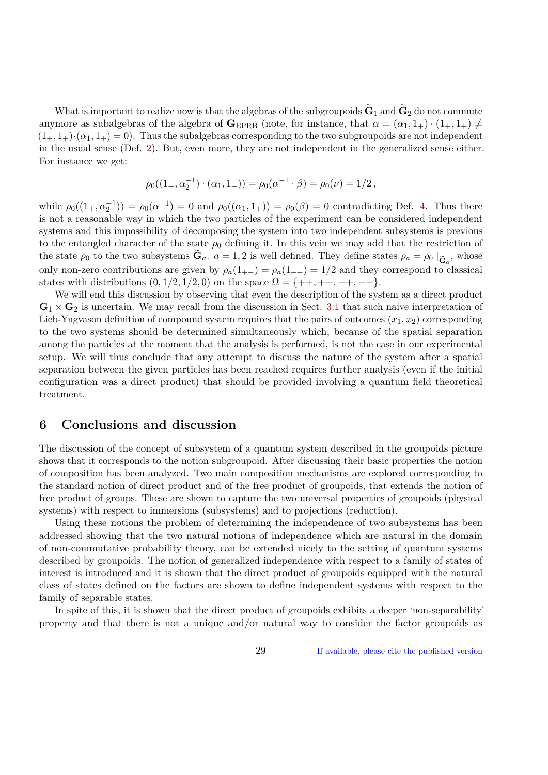What is important to realize now is that the algebras of the subgroupoids  $\mathbf{G}_1$  and  $\mathbf{G}_2$  do not commute anymore as subalgebras of the algebra of  $\mathbf{G}_{\text{EPRB}}$  (note, for instance, that  $\alpha = (\alpha_1, 1_+) \cdot (1_+, 1_+) \neq$  $(1_+, 1_+) \cdot (\alpha_1, 1_+) = 0$ . Thus the subalgebras corresponding to the two subgroupoids are not independent in the usual sense (Def. [2\)](#page-19-2). But, even more, they are not independent in the generalized sense either. For instance we get:

$$
\rho_0((1_+,\alpha_2^{-1})\cdot(\alpha_1,1_+))=\rho_0(\alpha^{-1}\cdot\beta)=\rho_0(\nu)=1/2\,,
$$

while  $\rho_0((1_+, \alpha_2^{-1})) = \rho_0(\alpha^{-1}) = 0$  and  $\rho_0((\alpha_1, 1_+) ) = \rho_0(\beta) = 0$  contradicting Def. [4.](#page-21-0) Thus there is not a reasonable way in which the two particles of the experiment can be considered independent systems and this impossibility of decomposing the system into two independent subsystems is previous to the entangled character of the state  $\rho_0$  defining it. In this vein we may add that the restriction of the state  $\rho_0$  to the two subsystems  $\mathbf{G}_a$ .  $a = 1, 2$  is well defined. They define states  $\rho_a = \rho_0 \mid_{\mathbf{G}_a}$ , whose only non-zero contributions are given by  $\rho_0(1, \ldots) = \rho_0(1, \ldots) = 1/2$  and they correspond to c only non-zero contributions are given by  $\rho_a(1_{+-}) = \rho_a(1_{-+}) = 1/2$  and they correspond to classical states with distributions  $(0, 1/2, 1/2, 0)$  on the space  $\Omega = \{+, +, +-, -+, --\}.$ 

We will end this discussion by observing that even the description of the system as a direct product  $\mathbf{G}_1 \times \mathbf{G}_2$  is uncertain. We may recall from the discussion in Sect. [3.1](#page-11-2) that such naive interpretation of Lieb-Yngvason definition of compound system requires that the pairs of outcomes  $(x_1, x_2)$  corresponding to the two systems should be determined simultaneously which, because of the spatial separation among the particles at the moment that the analysis is performed, is not the case in our experimental setup. We will thus conclude that any attempt to discuss the nature of the system after a spatial separation between the given particles has been reached requires further analysis (even if the initial configuration was a direct product) that should be provided involving a quantum field theoretical treatment.

### <span id="page-28-0"></span>**6 Conclusions and discussion**

The discussion of the concept of subsystem of a quantum system described in the groupoids picture shows that it corresponds to the notion subgroupoid. After discussing their basic properties the notion of composition has been analyzed. Two main composition mechanisms are explored corresponding to the standard notion of direct product and of the free product of groupoids, that extends the notion of free product of groups. These are shown to capture the two universal properties of groupoids (physical systems) with respect to immersions (subsystems) and to projections (reduction).

Using these notions the problem of determining the independence of two subsystems has been addressed showing that the two natural notions of independence which are natural in the domain of non-commutative probability theory, can be extended nicely to the setting of quantum systems described by groupoids. The notion of generalized independence with respect to a family of states of interest is introduced and it is shown that the direct product of groupoids equipped with the natural class of states defined on the factors are shown to define independent systems with respect to the family of separable states.

In spite of this, it is shown that the direct product of groupoids exhibits a deeper 'non-separability' property and that there is not a unique and/or natural way to consider the factor groupoids as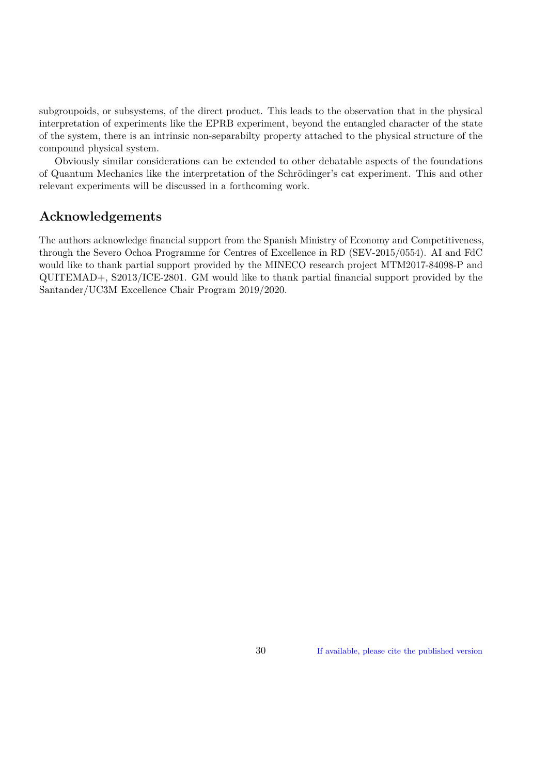subgroupoids, or subsystems, of the direct product. This leads to the observation that in the physical interpretation of experiments like the EPRB experiment, beyond the entangled character of the state of the system, there is an intrinsic non-separabilty property attached to the physical structure of the compound physical system.

Obviously similar considerations can be extended to other debatable aspects of the foundations of Quantum Mechanics like the interpretation of the Schrödinger's cat experiment. This and other relevant experiments will be discussed in a forthcoming work.

## **Acknowledgements**

The authors acknowledge financial support from the Spanish Ministry of Economy and Competitiveness, through the Severo Ochoa Programme for Centres of Excellence in RD (SEV-2015/0554). AI and FdC would like to thank partial support provided by the MINECO research project MTM2017-84098-P and QUITEMAD+, S2013/ICE-2801. GM would like to thank partial financial support provided by the Santander/UC3M Excellence Chair Program 2019/2020.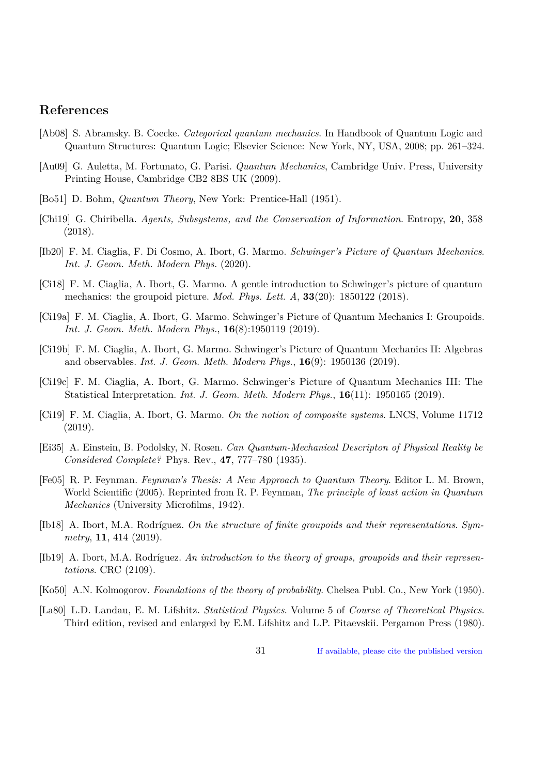### **References**

- <span id="page-30-5"></span>[Ab08] S. Abramsky. B. Coecke. *Categorical quantum mechanics*. In Handbook of Quantum Logic and Quantum Structures: Quantum Logic; Elsevier Science: New York, NY, USA, 2008; pp. 261–324.
- <span id="page-30-15"></span>[Au09] G. Auletta, M. Fortunato, G. Parisi. *Quantum Mechanics*, Cambridge Univ. Press, University Printing House, Cambridge CB2 8BS UK (2009).
- <span id="page-30-14"></span>[Bo51] D. Bohm, *Quantum Theory*, New York: Prentice-Hall (1951).
- <span id="page-30-10"></span>[Chi19] G. Chiribella. *Agents, Subsystems, and the Conservation of Information*. Entropy, **20**, 358 (2018).
- <span id="page-30-8"></span>[Ib20] F. M. Ciaglia, F. Di Cosmo, A. Ibort, G. Marmo. *Schwinger's Picture of Quantum Mechanics*. *Int. J. Geom. Meth. Modern Phys.* (2020).
- <span id="page-30-0"></span>[Ci18] F. M. Ciaglia, A. Ibort, G. Marmo. A gentle introduction to Schwinger's picture of quantum mechanics: the groupoid picture. *Mod. Phys. Lett. A*, **33**(20): 1850122 (2018).
- <span id="page-30-1"></span>[Ci19a] F. M. Ciaglia, A. Ibort, G. Marmo. Schwinger's Picture of Quantum Mechanics I: Groupoids. *Int. J. Geom. Meth. Modern Phys.*, **16**(8):1950119 (2019).
- <span id="page-30-2"></span>[Ci19b] F. M. Ciaglia, A. Ibort, G. Marmo. Schwinger's Picture of Quantum Mechanics II: Algebras and observables. *Int. J. Geom. Meth. Modern Phys.*, **16**(9): 1950136 (2019).
- <span id="page-30-3"></span>[Ci19c] F. M. Ciaglia, A. Ibort, G. Marmo. Schwinger's Picture of Quantum Mechanics III: The Statistical Interpretation. *Int. J. Geom. Meth. Modern Phys.*, **16**(11): 1950165 (2019).
- <span id="page-30-7"></span>[Ci19] F. M. Ciaglia, A. Ibort, G. Marmo. *On the notion of composite systems*. LNCS, Volume 11712 (2019).
- <span id="page-30-4"></span>[Ei35] A. Einstein, B. Podolsky, N. Rosen. *Can Quantum-Mechanical Descripton of Physical Reality be Considered Complete?* Phys. Rev., **47**, 777–780 (1935).
- <span id="page-30-9"></span>[Fe05] R. P. Feynman. *Feynman's Thesis: A New Approach to Quantum Theory*. Editor L. M. Brown, World Scientific (2005). Reprinted from R. P. Feynman, *The principle of least action in Quantum Mechanics* (University Microfilms, 1942).
- <span id="page-30-11"></span>[Ib18] A. Ibort, M.A. Rodríguez. *On the structure of finite groupoids and their representations*. *Symmetry*, **11**, 414 (2019).
- <span id="page-30-12"></span>[Ib19] A. Ibort, M.A. Rodríguez. *An introduction to the theory of groups, groupoids and their representations*. CRC (2109).
- <span id="page-30-13"></span>[Ko50] A.N. Kolmogorov. *Foundations of the theory of probability*. Chelsea Publ. Co., New York (1950).
- <span id="page-30-6"></span>[La80] L.D. Landau, E. M. Lifshitz. *Statistical Physics*. Volume 5 of *Course of Theoretical Physics*. Third edition, revised and enlarged by E.M. Lifshitz and L.P. Pitaevskii. Pergamon Press (1980).